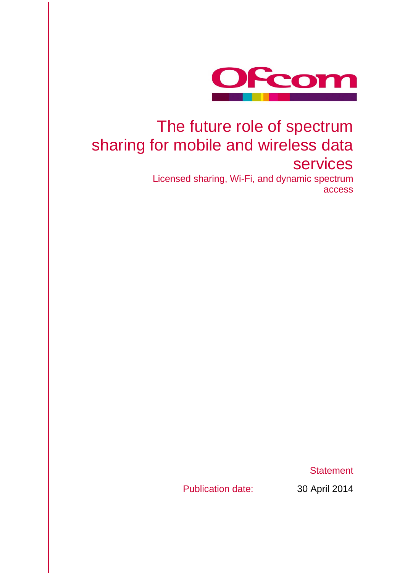

# The future role of spectrum sharing for mobile and wireless data services

Licensed sharing, Wi-Fi, and dynamic spectrum access

**Statement** 

Publication date: 30 April 2014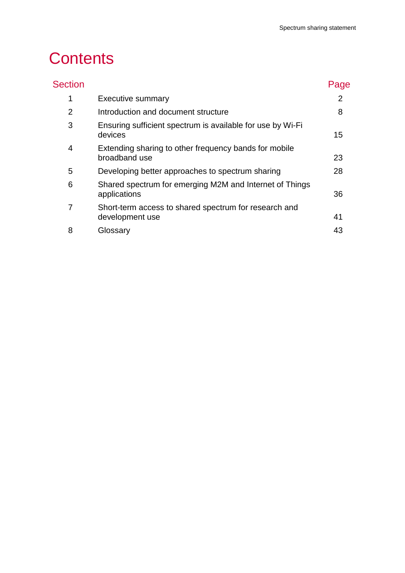# **Contents**

| <b>Section</b> |                                                                          | Page |
|----------------|--------------------------------------------------------------------------|------|
| 1              | <b>Executive summary</b>                                                 | 2    |
| 2              | Introduction and document structure                                      | 8    |
| 3              | Ensuring sufficient spectrum is available for use by Wi-Fi<br>devices    | 15   |
| 4              | Extending sharing to other frequency bands for mobile<br>broadband use   | 23   |
| 5              | Developing better approaches to spectrum sharing                         | 28   |
| 6              | Shared spectrum for emerging M2M and Internet of Things<br>applications  | 36   |
| 7              | Short-term access to shared spectrum for research and<br>development use | 41   |
| 8              | Glossary                                                                 | 43   |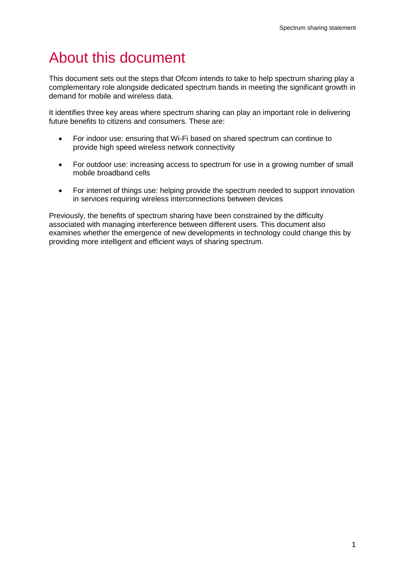# About this document

This document sets out the steps that Ofcom intends to take to help spectrum sharing play a complementary role alongside dedicated spectrum bands in meeting the significant growth in demand for mobile and wireless data.

It identifies three key areas where spectrum sharing can play an important role in delivering future benefits to citizens and consumers. These are:

- For indoor use: ensuring that Wi-Fi based on shared spectrum can continue to provide high speed wireless network connectivity
- For outdoor use: increasing access to spectrum for use in a growing number of small mobile broadband cells
- For internet of things use: helping provide the spectrum needed to support innovation in services requiring wireless interconnections between devices

Previously, the benefits of spectrum sharing have been constrained by the difficulty associated with managing interference between different users. This document also examines whether the emergence of new developments in technology could change this by providing more intelligent and efficient ways of sharing spectrum.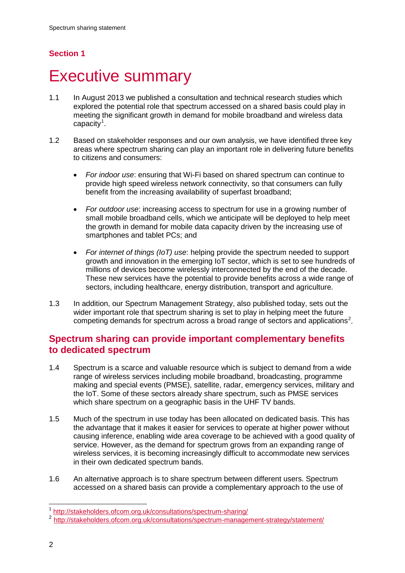# **Section 1**

# <span id="page-4-0"></span>**Executive summary**

- 1.1 In August 2013 we published a consultation and technical research studies which explored the potential role that spectrum accessed on a shared basis could play in meeting the significant growth in demand for mobile broadband and wireless data capacity<sup>[1](#page-4-1)</sup>.
- 1.2 Based on stakeholder responses and our own analysis, we have identified three key areas where spectrum sharing can play an important role in delivering future benefits to citizens and consumers:
	- *For indoor use*: ensuring that Wi-Fi based on shared spectrum can continue to provide high speed wireless network connectivity, so that consumers can fully benefit from the increasing availability of superfast broadband;
	- *For outdoor use*: increasing access to spectrum for use in a growing number of small mobile broadband cells, which we anticipate will be deployed to help meet the growth in demand for mobile data capacity driven by the increasing use of smartphones and tablet PCs; and
	- *For internet of things (IoT) use*: helping provide the spectrum needed to support growth and innovation in the emerging IoT sector, which is set to see hundreds of millions of devices become wirelessly interconnected by the end of the decade. These new services have the potential to provide benefits across a wide range of sectors, including healthcare, energy distribution, transport and agriculture.
- 1.3 In addition, our Spectrum Management Strategy, also published today, sets out the wider important role that spectrum sharing is set to play in helping meet the future competing demands for spectrum across a broad range of sectors and applications<sup>[2](#page-4-2)</sup>.

# **Spectrum sharing can provide important complementary benefits to dedicated spectrum**

- 1.4 Spectrum is a scarce and valuable resource which is subject to demand from a wide range of wireless services including mobile broadband, broadcasting, programme making and special events (PMSE), satellite, radar, emergency services, military and the IoT. Some of these sectors already share spectrum, such as PMSE services which share spectrum on a geographic basis in the UHF TV bands.
- 1.5 Much of the spectrum in use today has been allocated on dedicated basis. This has the advantage that it makes it easier for services to operate at higher power without causing inference, enabling wide area coverage to be achieved with a good quality of service. However, as the demand for spectrum grows from an expanding range of wireless services, it is becoming increasingly difficult to accommodate new services in their own dedicated spectrum bands.
- 1.6 An alternative approach is to share spectrum between different users. Spectrum accessed on a shared basis can provide a complementary approach to the use of

 <sup>1</sup> <http://stakeholders.ofcom.org.uk/consultations/spectrum-sharing/>

<span id="page-4-2"></span><span id="page-4-1"></span><sup>2</sup> <http://stakeholders.ofcom.org.uk/consultations/spectrum-management-strategy/statement/>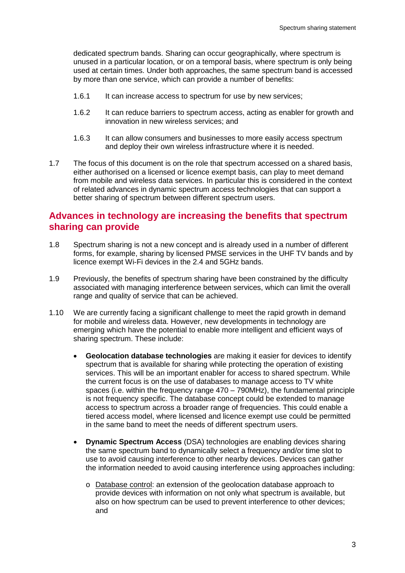dedicated spectrum bands. Sharing can occur geographically, where spectrum is unused in a particular location, or on a temporal basis, where spectrum is only being used at certain times. Under both approaches, the same spectrum band is accessed by more than one service, which can provide a number of benefits:

- 1.6.1 It can increase access to spectrum for use by new services;
- 1.6.2 It can reduce barriers to spectrum access, acting as enabler for growth and innovation in new wireless services; and
- 1.6.3 It can allow consumers and businesses to more easily access spectrum and deploy their own wireless infrastructure where it is needed.
- 1.7 The focus of this document is on the role that spectrum accessed on a shared basis, either authorised on a licensed or licence exempt basis, can play to meet demand from mobile and wireless data services. In particular this is considered in the context of related advances in dynamic spectrum access technologies that can support a better sharing of spectrum between different spectrum users.

# **Advances in technology are increasing the benefits that spectrum sharing can provide**

- 1.8 Spectrum sharing is not a new concept and is already used in a number of different forms, for example, sharing by licensed PMSE services in the UHF TV bands and by licence exempt Wi-Fi devices in the 2.4 and 5GHz bands.
- 1.9 Previously, the benefits of spectrum sharing have been constrained by the difficulty associated with managing interference between services, which can limit the overall range and quality of service that can be achieved.
- 1.10 We are currently facing a significant challenge to meet the rapid growth in demand for mobile and wireless data. However, new developments in technology are emerging which have the potential to enable more intelligent and efficient ways of sharing spectrum. These include:
	- **Geolocation database technologies** are making it easier for devices to identify spectrum that is available for sharing while protecting the operation of existing services. This will be an important enabler for access to shared spectrum. While the current focus is on the use of databases to manage access to TV white spaces (i.e. within the frequency range 470 – 790MHz), the fundamental principle is not frequency specific. The database concept could be extended to manage access to spectrum across a broader range of frequencies. This could enable a tiered access model, where licensed and licence exempt use could be permitted in the same band to meet the needs of different spectrum users.
	- **Dynamic Spectrum Access** (DSA) technologies are enabling devices sharing the same spectrum band to dynamically select a frequency and/or time slot to use to avoid causing interference to other nearby devices. Devices can gather the information needed to avoid causing interference using approaches including:
		- o Database control: an extension of the geolocation database approach to provide devices with information on not only what spectrum is available, but also on how spectrum can be used to prevent interference to other devices; and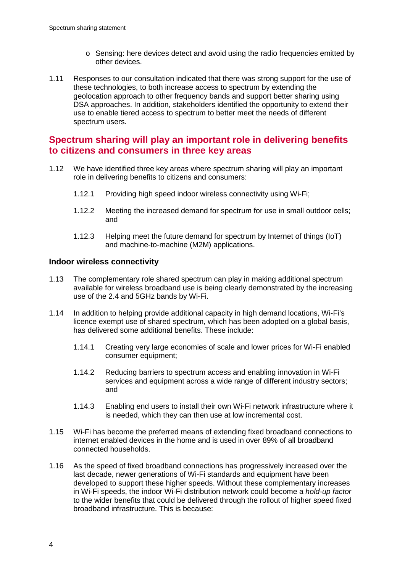- o Sensing: here devices detect and avoid using the radio frequencies emitted by other devices.
- 1.11 Responses to our consultation indicated that there was strong support for the use of these technologies, to both increase access to spectrum by extending the geolocation approach to other frequency bands and support better sharing using DSA approaches. In addition, stakeholders identified the opportunity to extend their use to enable tiered access to spectrum to better meet the needs of different spectrum users.

# **Spectrum sharing will play an important role in delivering benefits to citizens and consumers in three key areas**

- 1.12 We have identified three key areas where spectrum sharing will play an important role in delivering benefits to citizens and consumers:
	- 1.12.1 Providing high speed indoor wireless connectivity using Wi-Fi;
	- 1.12.2 Meeting the increased demand for spectrum for use in small outdoor cells; and
	- 1.12.3 Helping meet the future demand for spectrum by Internet of things (IoT) and machine-to-machine (M2M) applications.

## **Indoor wireless connectivity**

- 1.13 The complementary role shared spectrum can play in making additional spectrum available for wireless broadband use is being clearly demonstrated by the increasing use of the 2.4 and 5GHz bands by Wi-Fi.
- 1.14 In addition to helping provide additional capacity in high demand locations, Wi-Fi's licence exempt use of shared spectrum, which has been adopted on a global basis, has delivered some additional benefits. These include:
	- 1.14.1 Creating very large economies of scale and lower prices for Wi-Fi enabled consumer equipment;
	- 1.14.2 Reducing barriers to spectrum access and enabling innovation in Wi-Fi services and equipment across a wide range of different industry sectors; and
	- 1.14.3 Enabling end users to install their own Wi-Fi network infrastructure where it is needed, which they can then use at low incremental cost.
- 1.15 Wi-Fi has become the preferred means of extending fixed broadband connections to internet enabled devices in the home and is used in over 89% of all broadband connected households.
- 1.16 As the speed of fixed broadband connections has progressively increased over the last decade, newer generations of Wi-Fi standards and equipment have been developed to support these higher speeds. Without these complementary increases in Wi-Fi speeds, the indoor Wi-Fi distribution network could become a *hold-up factor* to the wider benefits that could be delivered through the rollout of higher speed fixed broadband infrastructure. This is because: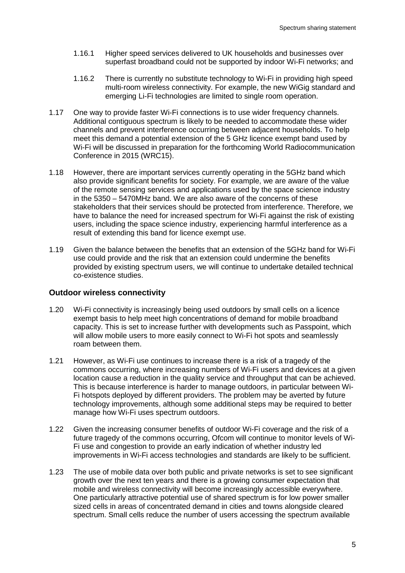- 1.16.1 Higher speed services delivered to UK households and businesses over superfast broadband could not be supported by indoor Wi-Fi networks; and
- 1.16.2 There is currently no substitute technology to Wi-Fi in providing high speed multi-room wireless connectivity. For example, the new WiGig standard and emerging Li-Fi technologies are limited to single room operation.
- 1.17 One way to provide faster Wi-Fi connections is to use wider frequency channels. Additional contiguous spectrum is likely to be needed to accommodate these wider channels and prevent interference occurring between adjacent households. To help meet this demand a potential extension of the 5 GHz licence exempt band used by Wi-Fi will be discussed in preparation for the forthcoming World Radiocommunication Conference in 2015 (WRC15).
- 1.18 However, there are important services currently operating in the 5GHz band which also provide significant benefits for society. For example, we are aware of the value of the remote sensing services and applications used by the space science industry in the 5350 – 5470MHz band. We are also aware of the concerns of these stakeholders that their services should be protected from interference. Therefore, we have to balance the need for increased spectrum for Wi-Fi against the risk of existing users, including the space science industry, experiencing harmful interference as a result of extending this band for licence exempt use.
- 1.19 Given the balance between the benefits that an extension of the 5GHz band for Wi-Fi use could provide and the risk that an extension could undermine the benefits provided by existing spectrum users, we will continue to undertake detailed technical co-existence studies.

#### **Outdoor wireless connectivity**

- 1.20 Wi-Fi connectivity is increasingly being used outdoors by small cells on a licence exempt basis to help meet high concentrations of demand for mobile broadband capacity. This is set to increase further with developments such as Passpoint, which will allow mobile users to more easily connect to Wi-Fi hot spots and seamlessly roam between them.
- 1.21 However, as Wi-Fi use continues to increase there is a risk of a tragedy of the commons occurring, where increasing numbers of Wi-Fi users and devices at a given location cause a reduction in the quality service and throughput that can be achieved. This is because interference is harder to manage outdoors, in particular between Wi-Fi hotspots deployed by different providers. The problem may be averted by future technology improvements, although some additional steps may be required to better manage how Wi-Fi uses spectrum outdoors.
- 1.22 Given the increasing consumer benefits of outdoor Wi-Fi coverage and the risk of a future tragedy of the commons occurring, Ofcom will continue to monitor levels of Wi-Fi use and congestion to provide an early indication of whether industry led improvements in Wi-Fi access technologies and standards are likely to be sufficient.
- 1.23 The use of mobile data over both public and private networks is set to see significant growth over the next ten years and there is a growing consumer expectation that mobile and wireless connectivity will become increasingly accessible everywhere. One particularly attractive potential use of shared spectrum is for low power smaller sized cells in areas of concentrated demand in cities and towns alongside cleared spectrum. Small cells reduce the number of users accessing the spectrum available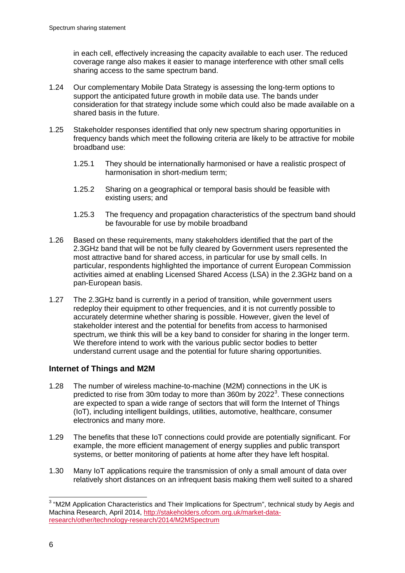in each cell, effectively increasing the capacity available to each user. The reduced coverage range also makes it easier to manage interference with other small cells sharing access to the same spectrum band.

- 1.24 Our complementary Mobile Data Strategy is assessing the long-term options to support the anticipated future growth in mobile data use. The bands under consideration for that strategy include some which could also be made available on a shared basis in the future.
- 1.25 Stakeholder responses identified that only new spectrum sharing opportunities in frequency bands which meet the following criteria are likely to be attractive for mobile broadband use:
	- 1.25.1 They should be internationally harmonised or have a realistic prospect of harmonisation in short-medium term;
	- 1.25.2 Sharing on a geographical or temporal basis should be feasible with existing users; and
	- 1.25.3 The frequency and propagation characteristics of the spectrum band should be favourable for use by mobile broadband
- 1.26 Based on these requirements, many stakeholders identified that the part of the 2.3GHz band that will be not be fully cleared by Government users represented the most attractive band for shared access, in particular for use by small cells. In particular, respondents highlighted the importance of current European Commission activities aimed at enabling Licensed Shared Access (LSA) in the 2.3GHz band on a pan-European basis.
- 1.27 The 2.3GHz band is currently in a period of transition, while government users redeploy their equipment to other frequencies, and it is not currently possible to accurately determine whether sharing is possible. However, given the level of stakeholder interest and the potential for benefits from access to harmonised spectrum, we think this will be a key band to consider for sharing in the longer term. We therefore intend to work with the various public sector bodies to better understand current usage and the potential for future sharing opportunities.

# **Internet of Things and M2M**

- 1.28 The number of wireless machine-to-machine (M2M) connections in the UK is predicted to rise from [3](#page-8-0)0m today to more than 360m by 2022 $^3$ . These connections are expected to span a wide range of sectors that will form the Internet of Things (IoT), including intelligent buildings, utilities, automotive, healthcare, consumer electronics and many more.
- 1.29 The benefits that these IoT connections could provide are potentially significant. For example, the more efficient management of energy supplies and public transport systems, or better monitoring of patients at home after they have left hospital.
- 1.30 Many IoT applications require the transmission of only a small amount of data over relatively short distances on an infrequent basis making them well suited to a shared

<span id="page-8-0"></span><sup>&</sup>lt;sup>3</sup> "M2M Application Characteristics and Their Implications for Spectrum", technical study by Aegis and Machina Research, April 2014, [http://stakeholders.ofcom.org.uk/market-data](http://stakeholders.ofcom.org.uk/market-data-research/other/technology-research/2014/M2MSpectrum)[research/other/technology-research/2014/M2MSpectrum](http://stakeholders.ofcom.org.uk/market-data-research/other/technology-research/2014/M2MSpectrum)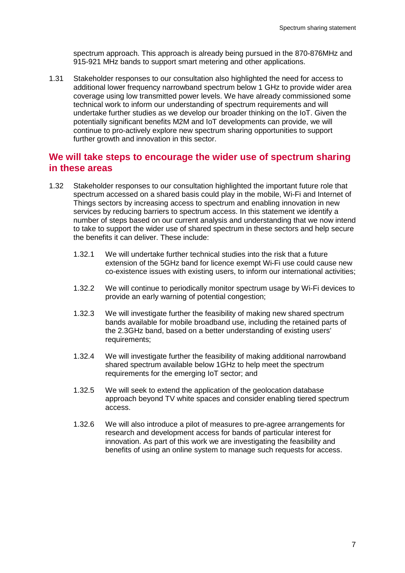spectrum approach. This approach is already being pursued in the 870-876MHz and 915-921 MHz bands to support smart metering and other applications.

1.31 Stakeholder responses to our consultation also highlighted the need for access to additional lower frequency narrowband spectrum below 1 GHz to provide wider area coverage using low transmitted power levels. We have already commissioned some technical work to inform our understanding of spectrum requirements and will undertake further studies as we develop our broader thinking on the IoT. Given the potentially significant benefits M2M and IoT developments can provide, we will continue to pro-actively explore new spectrum sharing opportunities to support further growth and innovation in this sector.

# **We will take steps to encourage the wider use of spectrum sharing in these areas**

- 1.32 Stakeholder responses to our consultation highlighted the important future role that spectrum accessed on a shared basis could play in the mobile, Wi-Fi and Internet of Things sectors by increasing access to spectrum and enabling innovation in new services by reducing barriers to spectrum access. In this statement we identify a number of steps based on our current analysis and understanding that we now intend to take to support the wider use of shared spectrum in these sectors and help secure the benefits it can deliver. These include:
	- 1.32.1 We will undertake further technical studies into the risk that a future extension of the 5GHz band for licence exempt Wi-Fi use could cause new co-existence issues with existing users, to inform our international activities;
	- 1.32.2 We will continue to periodically monitor spectrum usage by Wi-Fi devices to provide an early warning of potential congestion;
	- 1.32.3 We will investigate further the feasibility of making new shared spectrum bands available for mobile broadband use, including the retained parts of the 2.3GHz band, based on a better understanding of existing users' requirements;
	- 1.32.4 We will investigate further the feasibility of making additional narrowband shared spectrum available below 1GHz to help meet the spectrum requirements for the emerging IoT sector; and
	- 1.32.5 We will seek to extend the application of the geolocation database approach beyond TV white spaces and consider enabling tiered spectrum access.
	- 1.32.6 We will also introduce a pilot of measures to pre-agree arrangements for research and development access for bands of particular interest for innovation. As part of this work we are investigating the feasibility and benefits of using an online system to manage such requests for access.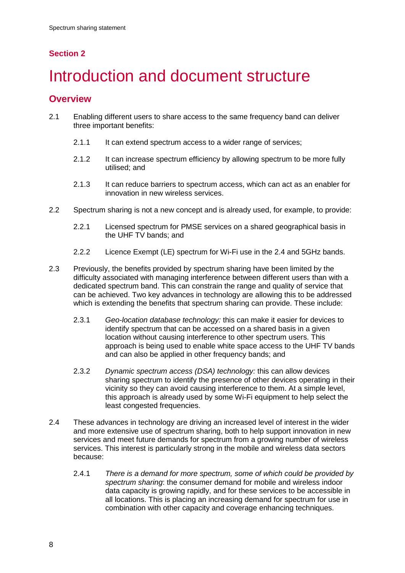# **Section 2**

# <span id="page-10-0"></span>Introduction and document structure

# **Overview**

- 2.1 Enabling different users to share access to the same frequency band can deliver three important benefits:
	- 2.1.1 It can extend spectrum access to a wider range of services;
	- 2.1.2 It can increase spectrum efficiency by allowing spectrum to be more fully utilised; and
	- 2.1.3 It can reduce barriers to spectrum access, which can act as an enabler for innovation in new wireless services.
- 2.2 Spectrum sharing is not a new concept and is already used, for example, to provide:
	- 2.2.1 Licensed spectrum for PMSE services on a shared geographical basis in the UHF TV bands; and
	- 2.2.2 Licence Exempt (LE) spectrum for Wi-Fi use in the 2.4 and 5GHz bands.
- 2.3 Previously, the benefits provided by spectrum sharing have been limited by the difficulty associated with managing interference between different users than with a dedicated spectrum band. This can constrain the range and quality of service that can be achieved. Two key advances in technology are allowing this to be addressed which is extending the benefits that spectrum sharing can provide. These include:
	- 2.3.1 *Geo-location database technology:* this can make it easier for devices to identify spectrum that can be accessed on a shared basis in a given location without causing interference to other spectrum users. This approach is being used to enable white space access to the UHF TV bands and can also be applied in other frequency bands; and
	- 2.3.2 *Dynamic spectrum access (DSA) technology:* this can allow devices sharing spectrum to identify the presence of other devices operating in their vicinity so they can avoid causing interference to them. At a simple level, this approach is already used by some Wi-Fi equipment to help select the least congested frequencies.
- 2.4 These advances in technology are driving an increased level of interest in the wider and more extensive use of spectrum sharing, both to help support innovation in new services and meet future demands for spectrum from a growing number of wireless services. This interest is particularly strong in the mobile and wireless data sectors because:
	- 2.4.1 *There is a demand for more spectrum, some of which could be provided by spectrum sharing*: the consumer demand for mobile and wireless indoor data capacity is growing rapidly, and for these services to be accessible in all locations. This is placing an increasing demand for spectrum for use in combination with other capacity and coverage enhancing techniques.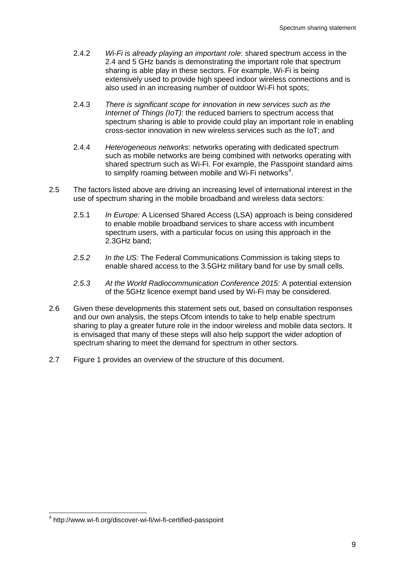- 2.4.2 *Wi-Fi is already playing an important role*: shared spectrum access in the 2.4 and 5 GHz bands is demonstrating the important role that spectrum sharing is able play in these sectors. For example, Wi-Fi is being extensively used to provide high speed indoor wireless connections and is also used in an increasing number of outdoor Wi-Fi hot spots;
- 2.4.3 *There is significant scope for innovation in new services such as the Internet of Things (IoT)*: the reduced barriers to spectrum access that spectrum sharing is able to provide could play an important role in enabling cross-sector innovation in new wireless services such as the IoT; and
- 2.4.4 *Heterogeneous networks*: networks operating with dedicated spectrum such as mobile networks are being combined with networks operating with shared spectrum such as Wi-Fi. For example, the Passpoint standard aims to simplify roaming between mobile and Wi-Fi networks<sup>[4](#page-11-0)</sup>.
- 2.5 The factors listed above are driving an increasing level of international interest in the use of spectrum sharing in the mobile broadband and wireless data sectors:
	- 2.5.1 *In Europe:* A Licensed Shared Access (LSA) approach is being considered to enable mobile broadband services to share access with incumbent spectrum users, with a particular focus on using this approach in the 2.3GHz band;
	- *2.5.2 In the US:* The Federal Communications Commission is taking steps to enable shared access to the 3.5GHz military band for use by small cells.
	- *2.5.3 At the World Radiocommunication Conference 2015:* A potential extension of the 5GHz licence exempt band used by Wi-Fi may be considered.
- 2.6 Given these developments this statement sets out, based on consultation responses and our own analysis, the steps Ofcom intends to take to help enable spectrum sharing to play a greater future role in the indoor wireless and mobile data sectors. It is envisaged that many of these steps will also help support the wider adoption of spectrum sharing to meet the demand for spectrum in other sectors.
- 2.7 Figure 1 provides an overview of the structure of this document.

<span id="page-11-0"></span> <sup>4</sup> http://www.wi-fi.org/discover-wi-fi/wi-fi-certified-passpoint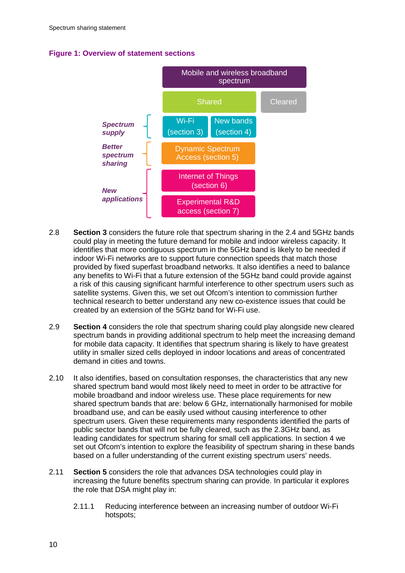# **Figure 1: Overview of statement sections**



- 2.8 **Section 3** considers the future role that spectrum sharing in the 2.4 and 5GHz bands could play in meeting the future demand for mobile and indoor wireless capacity. It identifies that more contiguous spectrum in the 5GHz band is likely to be needed if indoor Wi-Fi networks are to support future connection speeds that match those provided by fixed superfast broadband networks. It also identifies a need to balance any benefits to Wi-Fi that a future extension of the 5GHz band could provide against a risk of this causing significant harmful interference to other spectrum users such as satellite systems. Given this, we set out Ofcom's intention to commission further technical research to better understand any new co-existence issues that could be created by an extension of the 5GHz band for Wi-Fi use.
- 2.9 **Section 4** considers the role that spectrum sharing could play alongside new cleared spectrum bands in providing additional spectrum to help meet the increasing demand for mobile data capacity. It identifies that spectrum sharing is likely to have greatest utility in smaller sized cells deployed in indoor locations and areas of concentrated demand in cities and towns.
- 2.10 It also identifies, based on consultation responses, the characteristics that any new shared spectrum band would most likely need to meet in order to be attractive for mobile broadband and indoor wireless use. These place requirements for new shared spectrum bands that are: below 6 GHz, internationally harmonised for mobile broadband use, and can be easily used without causing interference to other spectrum users. Given these requirements many respondents identified the parts of public sector bands that will not be fully cleared, such as the 2.3GHz band, as leading candidates for spectrum sharing for small cell applications. In section 4 we set out Ofcom's intention to explore the feasibility of spectrum sharing in these bands based on a fuller understanding of the current existing spectrum users' needs.
- 2.11 **Section 5** considers the role that advances DSA technologies could play in increasing the future benefits spectrum sharing can provide. In particular it explores the role that DSA might play in:
	- 2.11.1 Reducing interference between an increasing number of outdoor Wi-Fi hotspots;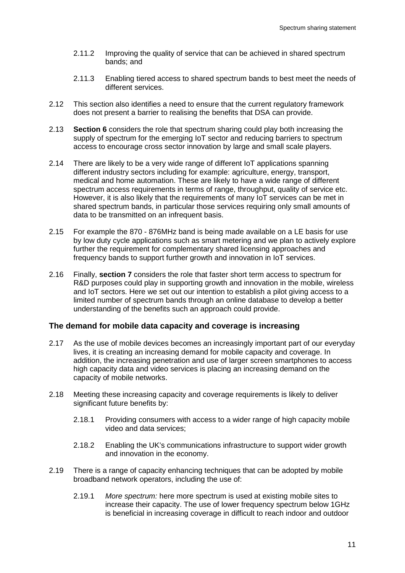- 2.11.2 Improving the quality of service that can be achieved in shared spectrum bands; and
- 2.11.3 Enabling tiered access to shared spectrum bands to best meet the needs of different services.
- 2.12 This section also identifies a need to ensure that the current regulatory framework does not present a barrier to realising the benefits that DSA can provide.
- 2.13 **Section 6** considers the role that spectrum sharing could play both increasing the supply of spectrum for the emerging IoT sector and reducing barriers to spectrum access to encourage cross sector innovation by large and small scale players.
- 2.14 There are likely to be a very wide range of different IoT applications spanning different industry sectors including for example: agriculture, energy, transport, medical and home automation. These are likely to have a wide range of different spectrum access requirements in terms of range, throughput, quality of service etc. However, it is also likely that the requirements of many IoT services can be met in shared spectrum bands, in particular those services requiring only small amounts of data to be transmitted on an infrequent basis.
- 2.15 For example the 870 876MHz band is being made available on a LE basis for use by low duty cycle applications such as smart metering and we plan to actively explore further the requirement for complementary shared licensing approaches and frequency bands to support further growth and innovation in IoT services.
- 2.16 Finally, **section 7** considers the role that faster short term access to spectrum for R&D purposes could play in supporting growth and innovation in the mobile, wireless and IoT sectors. Here we set out our intention to establish a pilot giving access to a limited number of spectrum bands through an online database to develop a better understanding of the benefits such an approach could provide.

### **The demand for mobile data capacity and coverage is increasing**

- 2.17 As the use of mobile devices becomes an increasingly important part of our everyday lives, it is creating an increasing demand for mobile capacity and coverage. In addition, the increasing penetration and use of larger screen smartphones to access high capacity data and video services is placing an increasing demand on the capacity of mobile networks.
- 2.18 Meeting these increasing capacity and coverage requirements is likely to deliver significant future benefits by:
	- 2.18.1 Providing consumers with access to a wider range of high capacity mobile video and data services;
	- 2.18.2 Enabling the UK's communications infrastructure to support wider growth and innovation in the economy.
- 2.19 There is a range of capacity enhancing techniques that can be adopted by mobile broadband network operators, including the use of:
	- 2.19.1 *More spectrum:* here more spectrum is used at existing mobile sites to increase their capacity. The use of lower frequency spectrum below 1GHz is beneficial in increasing coverage in difficult to reach indoor and outdoor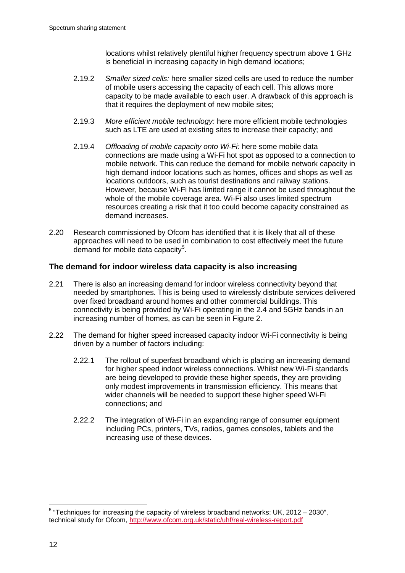locations whilst relatively plentiful higher frequency spectrum above 1 GHz is beneficial in increasing capacity in high demand locations;

- 2.19.2 *Smaller sized cells:* here smaller sized cells are used to reduce the number of mobile users accessing the capacity of each cell. This allows more capacity to be made available to each user. A drawback of this approach is that it requires the deployment of new mobile sites;
- 2.19.3 *More efficient mobile technology:* here more efficient mobile technologies such as LTE are used at existing sites to increase their capacity; and
- 2.19.4 *Offloading of mobile capacity onto Wi-Fi:* here some mobile data connections are made using a Wi-Fi hot spot as opposed to a connection to mobile network. This can reduce the demand for mobile network capacity in high demand indoor locations such as homes, offices and shops as well as locations outdoors, such as tourist destinations and railway stations. However, because Wi-Fi has limited range it cannot be used throughout the whole of the mobile coverage area. Wi-Fi also uses limited spectrum resources creating a risk that it too could become capacity constrained as demand increases.
- 2.20 Research commissioned by Ofcom has identified that it is likely that all of these approaches will need to be used in combination to cost effectively meet the future demand for mobile data capacity<sup>[5](#page-14-0)</sup>.

## **The demand for indoor wireless data capacity is also increasing**

- 2.21 There is also an increasing demand for indoor wireless connectivity beyond that needed by smartphones. This is being used to wirelessly distribute services delivered over fixed broadband around homes and other commercial buildings. This connectivity is being provided by Wi-Fi operating in the 2.4 and 5GHz bands in an increasing number of homes, as can be seen in Figure 2.
- 2.22 The demand for higher speed increased capacity indoor Wi-Fi connectivity is being driven by a number of factors including:
	- 2.22.1 The rollout of superfast broadband which is placing an increasing demand for higher speed indoor wireless connections. Whilst new Wi-Fi standards are being developed to provide these higher speeds, they are providing only modest improvements in transmission efficiency. This means that wider channels will be needed to support these higher speed Wi-Fi connections; and
	- 2.22.2 The integration of Wi-Fi in an expanding range of consumer equipment including PCs, printers, TVs, radios, games consoles, tablets and the increasing use of these devices.

<span id="page-14-0"></span> $5$  "Techniques for increasing the capacity of wireless broadband networks: UK, 2012 – 2030", technical study for Ofcom,<http://www.ofcom.org.uk/static/uhf/real-wireless-report.pdf>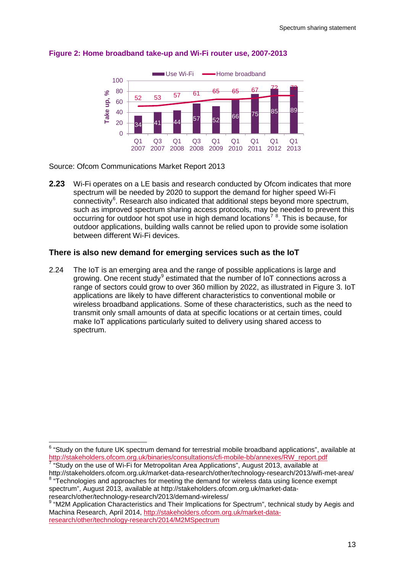

### **Figure 2: Home broadband take-up and Wi-Fi router use, 2007-2013**

Source: Ofcom Communications Market Report 2013

**2.23** Wi-Fi operates on a LE basis and research conducted by Ofcom indicates that more spectrum will be needed by 2020 to support the demand for higher speed Wi-Fi connectivity<sup>[6](#page-15-0)</sup>. Research also indicated that additional steps beyond more spectrum, such as improved spectrum sharing access protocols, may be needed to prevent this occurring for outdoor hot spot use in high demand locations<sup>[7](#page-15-1)</sup><sup>[8](#page-15-2)</sup>. This is because, for outdoor applications, building walls cannot be relied upon to provide some isolation between different Wi-Fi devices.

### **There is also new demand for emerging services such as the IoT**

2.24 The IoT is an emerging area and the range of possible applications is large and growing. One recent study<sup>[9](#page-15-3)</sup> estimated that the number of IoT connections across a range of sectors could grow to over 360 million by 2022, as illustrated in Figure 3. IoT applications are likely to have different characteristics to conventional mobile or wireless broadband applications. Some of these characteristics, such as the need to transmit only small amounts of data at specific locations or at certain times, could make IoT applications particularly suited to delivery using shared access to spectrum.

<span id="page-15-0"></span><sup>&</sup>lt;sup>6</sup> "Study on the future UK spectrum demand for terrestrial mobile broadband applications", available at http://stakeholders.ofcom.org.uk/binaries/consultations/cfi-mobile-bb/annexes/RW\_report.pdf

<span id="page-15-1"></span> $\frac{7}{7}$  "Study on the use of Wi-Fi for Metropolitan Area Applications", August 2013, available at http://stakeholders.ofcom.org.uk/market-data-research/other/technology-research/2013/wifi-met-area/

<span id="page-15-2"></span><sup>&</sup>lt;sup>8</sup> "Technologies and approaches for meeting the demand for wireless data using licence exempt spectrum", August 2013, available at http://stakeholders.ofcom.org.uk/market-dataresearch/other/technology-research/2013/demand-wireless/

<span id="page-15-3"></span><sup>9</sup> "M2M Application Characteristics and Their Implications for Spectrum", technical study by Aegis and Machina Research, April 2014, [http://stakeholders.ofcom.org.uk/market-data](http://stakeholders.ofcom.org.uk/market-data-research/other/technology-research/2014/M2MSpectrum)[research/other/technology-research/2014/M2MSpectrum](http://stakeholders.ofcom.org.uk/market-data-research/other/technology-research/2014/M2MSpectrum)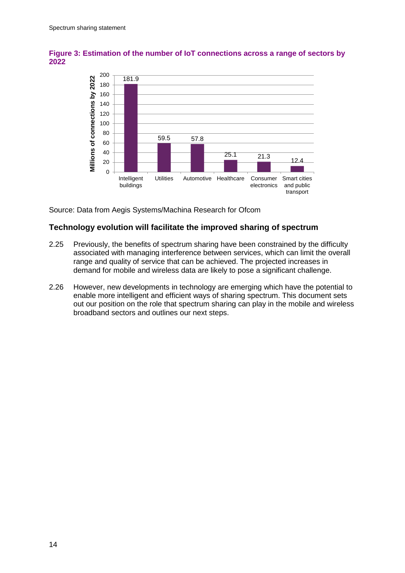

**Figure 3: Estimation of the number of IoT connections across a range of sectors by 2022**

Source: Data from Aegis Systems/Machina Research for Ofcom

## **Technology evolution will facilitate the improved sharing of spectrum**

- 2.25 Previously, the benefits of spectrum sharing have been constrained by the difficulty associated with managing interference between services, which can limit the overall range and quality of service that can be achieved. The projected increases in demand for mobile and wireless data are likely to pose a significant challenge.
- 2.26 However, new developments in technology are emerging which have the potential to enable more intelligent and efficient ways of sharing spectrum. This document sets out our position on the role that spectrum sharing can play in the mobile and wireless broadband sectors and outlines our next steps.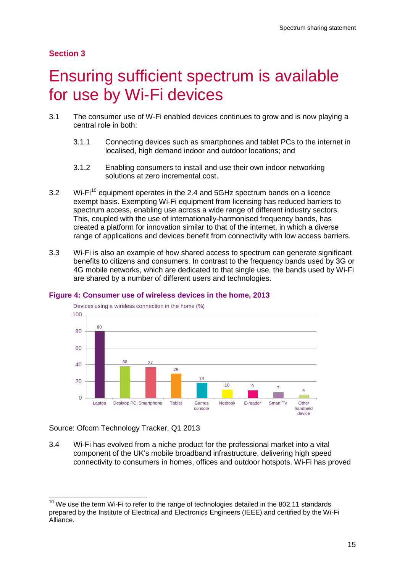# **Section 3**

# <span id="page-17-0"></span>3 Ensuring sufficient spectrum is available for use by Wi-Fi devices

- 3.1 The consumer use of W-Fi enabled devices continues to grow and is now playing a central role in both:
	- 3.1.1 Connecting devices such as smartphones and tablet PCs to the internet in localised, high demand indoor and outdoor locations; and
	- 3.1.2 Enabling consumers to install and use their own indoor networking solutions at zero incremental cost.
- 3.2 Wi-Fi<sup>[10](#page-17-1)</sup> equipment operates in the 2.4 and 5GHz spectrum bands on a licence exempt basis. Exempting Wi-Fi equipment from licensing has reduced barriers to spectrum access, enabling use across a wide range of different industry sectors. This, coupled with the use of internationally-harmonised frequency bands, has created a platform for innovation similar to that of the internet, in which a diverse range of applications and devices benefit from connectivity with low access barriers.
- 3.3 Wi-Fi is also an example of how shared access to spectrum can generate significant benefits to citizens and consumers. In contrast to the frequency bands used by 3G or 4G mobile networks, which are dedicated to that single use, the bands used by Wi-Fi are shared by a number of different users and technologies.



#### **Figure 4: Consumer use of wireless devices in the home, 2013**

Source: Ofcom Technology Tracker, Q1 2013

3.4 Wi-Fi has evolved from a niche product for the professional market into a vital component of the UK's mobile broadband infrastructure, delivering high speed connectivity to consumers in homes, offices and outdoor hotspots. Wi-Fi has proved

<span id="page-17-1"></span> $10$  We use the term Wi-Fi to refer to the range of technologies detailed in the 802.11 standards prepared by the Institute of Electrical and Electronics Engineers (IEEE) and certified by the Wi-Fi Alliance.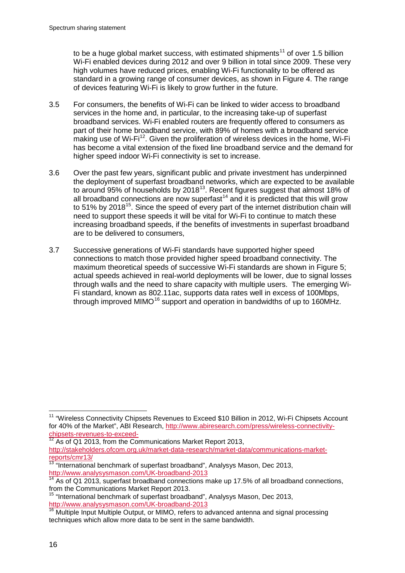to be a huge global market success, with estimated shipments<sup>[11](#page-18-0)</sup> of over 1.5 billion Wi-Fi enabled devices during 2012 and over 9 billion in total since 2009. These very high volumes have reduced prices, enabling Wi-Fi functionality to be offered as standard in a growing range of consumer devices, as shown in Figure 4. The range of devices featuring Wi-Fi is likely to grow further in the future.

- 3.5 For consumers, the benefits of Wi-Fi can be linked to wider access to broadband services in the home and, in particular, to the increasing take-up of superfast broadband services. Wi-Fi enabled routers are frequently offered to consumers as part of their home broadband service, with 89% of homes with a broadband service making use of  $Wi-Fi<sup>12</sup>$  $Wi-Fi<sup>12</sup>$  $Wi-Fi<sup>12</sup>$ . Given the proliferation of wireless devices in the home, Wi-Fi has become a vital extension of the fixed line broadband service and the demand for higher speed indoor Wi-Fi connectivity is set to increase.
- 3.6 Over the past few years, significant public and private investment has underpinned the deployment of superfast broadband networks, which are expected to be available to around 95% of households by 2018 $^{13}$  $^{13}$  $^{13}$ . Recent figures suggest that almost 18% of all broadband connections are now superfast<sup>[14](#page-18-3)</sup> and it is predicted that this will grow to 51% by 2018<sup>15</sup>. Since the speed of every part of the internet distribution chain will need to support these speeds it will be vital for Wi-Fi to continue to match these increasing broadband speeds, if the benefits of investments in superfast broadband are to be delivered to consumers,
- 3.7 Successive generations of Wi-Fi standards have supported higher speed connections to match those provided higher speed broadband connectivity. The maximum theoretical speeds of successive Wi-Fi standards are shown in Figure 5; actual speeds achieved in real-world deployments will be lower, due to signal losses through walls and the need to share capacity with multiple users. The emerging Wi-Fi standard, known as 802.11ac, supports data rates well in excess of 100Mbps, through improved MIMO<sup>[16](#page-18-5)</sup> support and operation in bandwidths of up to 160MHz.

<span id="page-18-0"></span><sup>&</sup>lt;sup>11</sup> "Wireless Connectivity Chipsets Revenues to Exceed \$10 Billion in 2012, Wi-Fi Chipsets Account for 40% of the Market", ABI Research, [http://www.abiresearch.com/press/wireless-connectivity](http://www.abiresearch.com/press/wireless-connectivity-chipsets-revenues-to-exceed-)[chipsets-revenues-to-exceed-](http://www.abiresearch.com/press/wireless-connectivity-chipsets-revenues-to-exceed-)<br><sup>12</sup> As of Q1 2013, from the Communications Market Report 2013,

<span id="page-18-1"></span>[http://stakeholders.ofcom.org.uk/market-data-research/market-data/communications-market](http://stakeholders.ofcom.org.uk/market-data-research/market-data/communications-market-reports/cmr13/)[reports/cmr13/](http://stakeholders.ofcom.org.uk/market-data-research/market-data/communications-market-reports/cmr13/)

<span id="page-18-2"></span><sup>&</sup>lt;sup>13 "</sup>International benchmark of superfast broadband", Analysys Mason, Dec 2013, <http://www.analysysmason.com/UK-broadband-2013>

<span id="page-18-3"></span> $\frac{14}{14}$  As of Q1 2013, superfast broadband connections make up 17.5% of all broadband connections, from the Communications Market Report 2013.

<span id="page-18-4"></span><sup>15</sup> "International benchmark of superfast broadband", Analysys Mason, Dec 2013, <http://www.analysysmason.com/UK-broadband-2013>

<span id="page-18-5"></span><sup>&</sup>lt;sup>16</sup> Multiple Input Multiple Output, or MIMO, refers to advanced antenna and signal processing techniques which allow more data to be sent in the same bandwidth.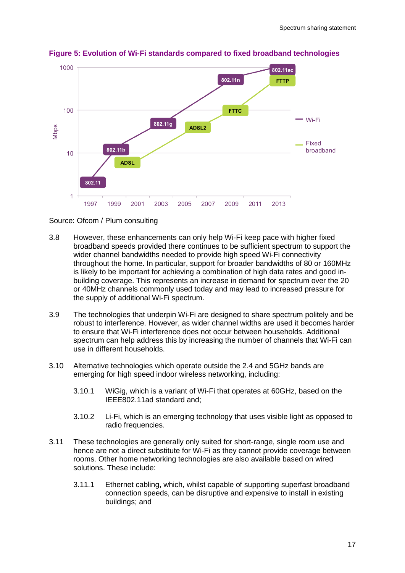

**Figure 5: Evolution of Wi-Fi standards compared to fixed broadband technologies**

Source: Ofcom / Plum consulting

- 3.8 However, these enhancements can only help Wi-Fi keep pace with higher fixed broadband speeds provided there continues to be sufficient spectrum to support the wider channel bandwidths needed to provide high speed Wi-Fi connectivity throughout the home. In particular, support for broader bandwidths of 80 or 160MHz is likely to be important for achieving a combination of high data rates and good inbuilding coverage. This represents an increase in demand for spectrum over the 20 or 40MHz channels commonly used today and may lead to increased pressure for the supply of additional Wi-Fi spectrum.
- 3.9 The technologies that underpin Wi-Fi are designed to share spectrum politely and be robust to interference. However, as wider channel widths are used it becomes harder to ensure that Wi-Fi interference does not occur between households. Additional spectrum can help address this by increasing the number of channels that Wi-Fi can use in different households.
- 3.10 Alternative technologies which operate outside the 2.4 and 5GHz bands are emerging for high speed indoor wireless networking, including:
	- 3.10.1 WiGig, which is a variant of Wi-Fi that operates at 60GHz, based on the IEEE802.11ad standard and;
	- 3.10.2 Li-Fi, which is an emerging technology that uses visible light as opposed to radio frequencies.
- 3.11 These technologies are generally only suited for short-range, single room use and hence are not a direct substitute for Wi-Fi as they cannot provide coverage between rooms. Other home networking technologies are also available based on wired solutions. These include:
	- 3.11.1 Ethernet cabling, which, whilst capable of supporting superfast broadband connection speeds, can be disruptive and expensive to install in existing buildings; and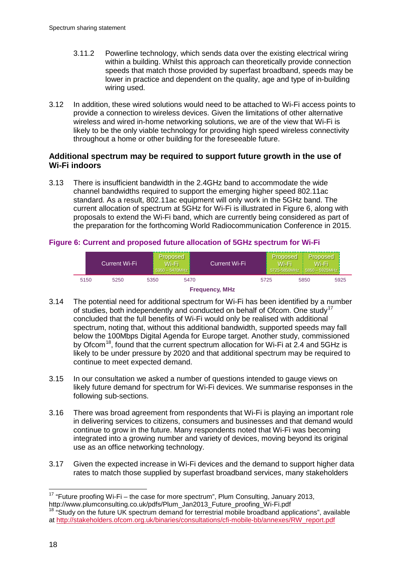- 3.11.2 Powerline technology, which sends data over the existing electrical wiring within a building. Whilst this approach can theoretically provide connection speeds that match those provided by superfast broadband, speeds may be lower in practice and dependent on the quality, age and type of in-building wiring used.
- 3.12 In addition, these wired solutions would need to be attached to Wi-Fi access points to provide a connection to wireless devices. Given the limitations of other alternative wireless and wired in-home networking solutions, we are of the view that Wi-Fi is likely to be the only viable technology for providing high speed wireless connectivity throughout a home or other building for the foreseeable future.

# **Additional spectrum may be required to support future growth in the use of Wi-Fi indoors**

3.13 There is insufficient bandwidth in the 2.4GHz band to accommodate the wide channel bandwidths required to support the emerging higher speed 802.11ac standard. As a result, 802.11ac equipment will only work in the 5GHz band. The current allocation of spectrum at 5GHz for Wi-Fi is illustrated in Figure 6, along with proposals to extend the Wi-Fi band, which are currently being considered as part of the preparation for the forthcoming World Radiocommunication Conference in 2015.

# **Figure 6: Current and proposed future allocation of 5GHz spectrum for Wi-Fi**

|               | iCurrent Wi-Fi <sup>i</sup> |      | Proposed<br>Wi-Fi<br>$5350 - 5470$ MHz | <b>Current Wi-Fi</b> |  | Proposed<br>Wi-Fi | <b>Proposed</b><br>Wi-Fi<br>5725-5850MHz   5850 - 5925MHz |      |  |  |  |
|---------------|-----------------------------|------|----------------------------------------|----------------------|--|-------------------|-----------------------------------------------------------|------|--|--|--|
| 5150          | 5250                        | 5350 | 5470                                   |                      |  | 5725              | 5850                                                      | 5925 |  |  |  |
| Examppear MU- |                             |      |                                        |                      |  |                   |                                                           |      |  |  |  |



- 3.14 The potential need for additional spectrum for Wi-Fi has been identified by a number of studies, both independently and conducted on behalf of Ofcom. One study<sup>[17](#page-20-0)</sup> concluded that the full benefits of Wi-Fi would only be realised with additional spectrum, noting that, without this additional bandwidth, supported speeds may fall below the 100Mbps Digital Agenda for Europe target. Another study, commissioned by Ofcom<sup>[18](#page-20-1)</sup>, found that the current spectrum allocation for Wi-Fi at 2.4 and 5GHz is likely to be under pressure by 2020 and that additional spectrum may be required to continue to meet expected demand.
- 3.15 In our consultation we asked a number of questions intended to gauge views on likely future demand for spectrum for Wi-Fi devices. We summarise responses in the following sub-sections.
- 3.16 There was broad agreement from respondents that Wi-Fi is playing an important role in delivering services to citizens, consumers and businesses and that demand would continue to grow in the future. Many respondents noted that Wi-Fi was becoming integrated into a growing number and variety of devices, moving beyond its original use as an office networking technology.
- 3.17 Given the expected increase in Wi-Fi devices and the demand to support higher data rates to match those supplied by superfast broadband services, many stakeholders

<span id="page-20-0"></span><sup>&</sup>lt;sup>17</sup> "Future proofing Wi-Fi – the case for more spectrum", Plum Consulting, January 2013, http://www.plumconsulting.co.uk/pdfs/Plum\_Jan2013\_Future\_proofing\_Wi-Fi.pdf

<span id="page-20-1"></span> $18$  "Study on the future UK spectrum demand for terrestrial mobile broadband applications", available at [http://stakeholders.ofcom.org.uk/binaries/consultations/cfi-mobile-bb/annexes/RW\\_report.pdf](http://stakeholders.ofcom.org.uk/binaries/consultations/cfi-mobile-bb/annexes/RW_report.pdf)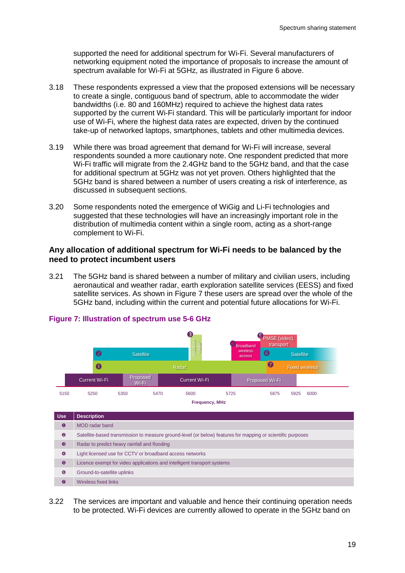supported the need for additional spectrum for Wi-Fi. Several manufacturers of networking equipment noted the importance of proposals to increase the amount of spectrum available for Wi-Fi at 5GHz, as illustrated in Figure 6 above.

- 3.18 These respondents expressed a view that the proposed extensions will be necessary to create a single, contiguous band of spectrum, able to accommodate the wider bandwidths (i.e. 80 and 160MHz) required to achieve the highest data rates supported by the current Wi-Fi standard. This will be particularly important for indoor use of Wi-Fi, where the highest data rates are expected, driven by the continued take-up of networked laptops, smartphones, tablets and other multimedia devices.
- 3.19 While there was broad agreement that demand for Wi-Fi will increase, several respondents sounded a more cautionary note. One respondent predicted that more Wi-Fi traffic will migrate from the 2.4GHz band to the 5GHz band, and that the case for additional spectrum at 5GHz was not yet proven. Others highlighted that the 5GHz band is shared between a number of users creating a risk of interference, as discussed in subsequent sections.
- 3.20 Some respondents noted the emergence of WiGig and Li-Fi technologies and suggested that these technologies will have an increasingly important role in the distribution of multimedia content within a single room, acting as a short-range complement to Wi-Fi.

## **Any allocation of additional spectrum for Wi-Fi needs to be balanced by the need to protect incumbent users**

3.21 The 5GHz band is shared between a number of military and civilian users, including aeronautical and weather radar, earth exploration satellite services (EESS) and fixed satellite services. As shown in Figure 7 these users are spread over the whole of the 5GHz band, including within the current and potential future allocations for Wi-Fi. 



## **Figure 7: Illustration of spectrum use 5-6 GHz**

3.22 The services are important and valuable and hence their continuing operation needs to be protected. Wi-Fi devices are currently allowed to operate in the 5GHz band on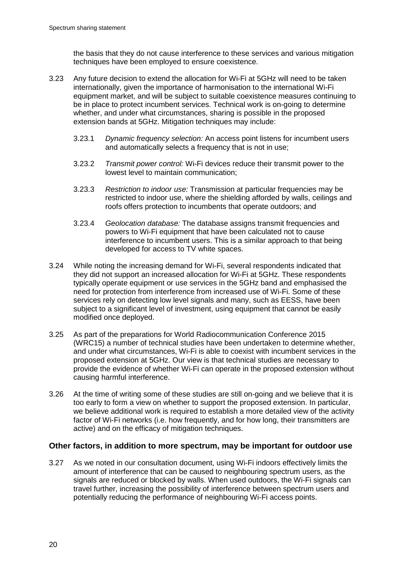the basis that they do not cause interference to these services and various mitigation techniques have been employed to ensure coexistence.

- 3.23 Any future decision to extend the allocation for Wi-Fi at 5GHz will need to be taken internationally, given the importance of harmonisation to the international Wi-Fi equipment market, and will be subject to suitable coexistence measures continuing to be in place to protect incumbent services. Technical work is on-going to determine whether, and under what circumstances, sharing is possible in the proposed extension bands at 5GHz. Mitigation techniques may include:
	- 3.23.1 *Dynamic frequency selection:* An access point listens for incumbent users and automatically selects a frequency that is not in use;
	- 3.23.2 *Transmit power control:* Wi-Fi devices reduce their transmit power to the lowest level to maintain communication;
	- 3.23.3 *Restriction to indoor use:* Transmission at particular frequencies may be restricted to indoor use, where the shielding afforded by walls, ceilings and roofs offers protection to incumbents that operate outdoors; and
	- 3.23.4 *Geolocation database:* The database assigns transmit frequencies and powers to Wi-Fi equipment that have been calculated not to cause interference to incumbent users. This is a similar approach to that being developed for access to TV white spaces.
- 3.24 While noting the increasing demand for Wi-Fi, several respondents indicated that they did not support an increased allocation for Wi-Fi at 5GHz. These respondents typically operate equipment or use services in the 5GHz band and emphasised the need for protection from interference from increased use of Wi-Fi. Some of these services rely on detecting low level signals and many, such as EESS, have been subject to a significant level of investment, using equipment that cannot be easily modified once deployed.
- 3.25 As part of the preparations for World Radiocommunication Conference 2015 (WRC15) a number of technical studies have been undertaken to determine whether, and under what circumstances, Wi-Fi is able to coexist with incumbent services in the proposed extension at 5GHz. Our view is that technical studies are necessary to provide the evidence of whether Wi-Fi can operate in the proposed extension without causing harmful interference.
- 3.26 At the time of writing some of these studies are still on-going and we believe that it is too early to form a view on whether to support the proposed extension. In particular, we believe additional work is required to establish a more detailed view of the activity factor of Wi-Fi networks (i.e. how frequently, and for how long, their transmitters are active) and on the efficacy of mitigation techniques.

# **Other factors, in addition to more spectrum, may be important for outdoor use**

3.27 As we noted in our consultation document, using Wi-Fi indoors effectively limits the amount of interference that can be caused to neighbouring spectrum users, as the signals are reduced or blocked by walls. When used outdoors, the Wi-Fi signals can travel further, increasing the possibility of interference between spectrum users and potentially reducing the performance of neighbouring Wi-Fi access points.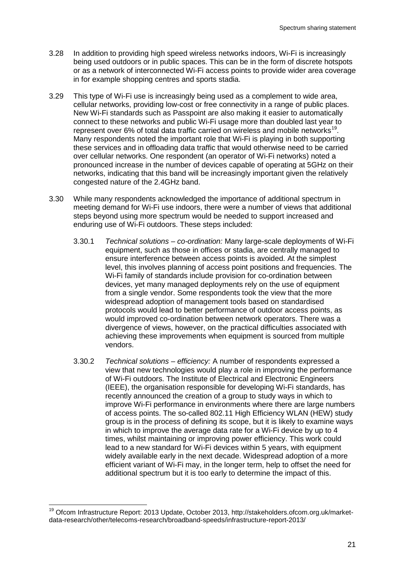- 3.28 In addition to providing high speed wireless networks indoors, Wi-Fi is increasingly being used outdoors or in public spaces. This can be in the form of discrete hotspots or as a network of interconnected Wi-Fi access points to provide wider area coverage in for example shopping centres and sports stadia.
- 3.29 This type of Wi-Fi use is increasingly being used as a complement to wide area, cellular networks, providing low-cost or free connectivity in a range of public places. New Wi-Fi standards such as Passpoint are also making it easier to automatically connect to these networks and public Wi-Fi usage more than doubled last year to represent over 6% of total data traffic carried on wireless and mobile networks<sup>[19](#page-23-0)</sup>. Many respondents noted the important role that Wi-Fi is playing in both supporting these services and in offloading data traffic that would otherwise need to be carried over cellular networks. One respondent (an operator of Wi-Fi networks) noted a pronounced increase in the number of devices capable of operating at 5GHz on their networks, indicating that this band will be increasingly important given the relatively congested nature of the 2.4GHz band.
- 3.30 While many respondents acknowledged the importance of additional spectrum in meeting demand for Wi-Fi use indoors, there were a number of views that additional steps beyond using more spectrum would be needed to support increased and enduring use of Wi-Fi outdoors. These steps included:
	- 3.30.1 *Technical solutions – co-ordination:* Many large-scale deployments of Wi-Fi equipment, such as those in offices or stadia, are centrally managed to ensure interference between access points is avoided. At the simplest level, this involves planning of access point positions and frequencies. The Wi-Fi family of standards include provision for co-ordination between devices, yet many managed deployments rely on the use of equipment from a single vendor. Some respondents took the view that the more widespread adoption of management tools based on standardised protocols would lead to better performance of outdoor access points, as would improved co-ordination between network operators. There was a divergence of views, however, on the practical difficulties associated with achieving these improvements when equipment is sourced from multiple vendors.
	- 3.30.2 *Technical solutions – efficiency:* A number of respondents expressed a view that new technologies would play a role in improving the performance of Wi-Fi outdoors. The Institute of Electrical and Electronic Engineers (IEEE), the organisation responsible for developing Wi-Fi standards, has recently announced the creation of a group to study ways in which to improve Wi-Fi performance in environments where there are large numbers of access points. The so-called 802.11 High Efficiency WLAN (HEW) study group is in the process of defining its scope, but it is likely to examine ways in which to improve the average data rate for a Wi-Fi device by up to 4 times, whilst maintaining or improving power efficiency. This work could lead to a new standard for Wi-Fi devices within 5 years, with equipment widely available early in the next decade. Widespread adoption of a more efficient variant of Wi-Fi may, in the longer term, help to offset the need for additional spectrum but it is too early to determine the impact of this.

<span id="page-23-0"></span><sup>&</sup>lt;sup>19</sup> Ofcom Infrastructure Report: 2013 Update, October 2013, http://stakeholders.ofcom.org.uk/marketdata-research/other/telecoms-research/broadband-speeds/infrastructure-report-2013/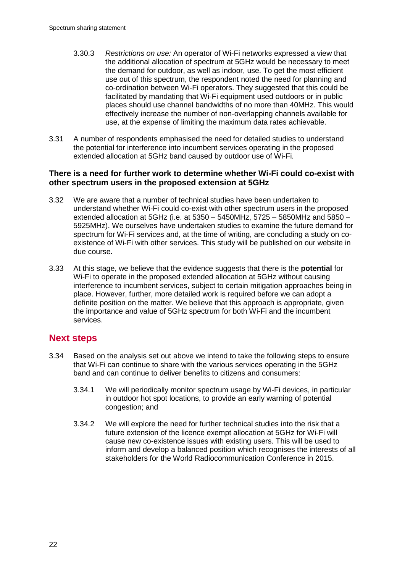- 3.30.3 *Restrictions on use:* An operator of Wi-Fi networks expressed a view that the additional allocation of spectrum at 5GHz would be necessary to meet the demand for outdoor, as well as indoor, use. To get the most efficient use out of this spectrum, the respondent noted the need for planning and co-ordination between Wi-Fi operators. They suggested that this could be facilitated by mandating that Wi-Fi equipment used outdoors or in public places should use channel bandwidths of no more than 40MHz. This would effectively increase the number of non-overlapping channels available for use, at the expense of limiting the maximum data rates achievable.
- 3.31 A number of respondents emphasised the need for detailed studies to understand the potential for interference into incumbent services operating in the proposed extended allocation at 5GHz band caused by outdoor use of Wi-Fi.

# **There is a need for further work to determine whether Wi-Fi could co-exist with other spectrum users in the proposed extension at 5GHz**

- 3.32 We are aware that a number of technical studies have been undertaken to understand whether Wi-Fi could co-exist with other spectrum users in the proposed extended allocation at 5GHz (i.e. at 5350 – 5450MHz, 5725 – 5850MHz and 5850 – 5925MHz). We ourselves have undertaken studies to examine the future demand for spectrum for Wi-Fi services and, at the time of writing, are concluding a study on coexistence of Wi-Fi with other services. This study will be published on our website in due course.
- 3.33 At this stage, we believe that the evidence suggests that there is the **potential** for Wi-Fi to operate in the proposed extended allocation at 5GHz without causing interference to incumbent services, subject to certain mitigation approaches being in place. However, further, more detailed work is required before we can adopt a definite position on the matter. We believe that this approach is appropriate, given the importance and value of 5GHz spectrum for both Wi-Fi and the incumbent services.

# **Next steps**

- 3.34 Based on the analysis set out above we intend to take the following steps to ensure that Wi-Fi can continue to share with the various services operating in the 5GHz band and can continue to deliver benefits to citizens and consumers:
	- 3.34.1 We will periodically monitor spectrum usage by Wi-Fi devices, in particular in outdoor hot spot locations, to provide an early warning of potential congestion; and
	- 3.34.2 We will explore the need for further technical studies into the risk that a future extension of the licence exempt allocation at 5GHz for Wi-Fi will cause new co-existence issues with existing users. This will be used to inform and develop a balanced position which recognises the interests of all stakeholders for the World Radiocommunication Conference in 2015.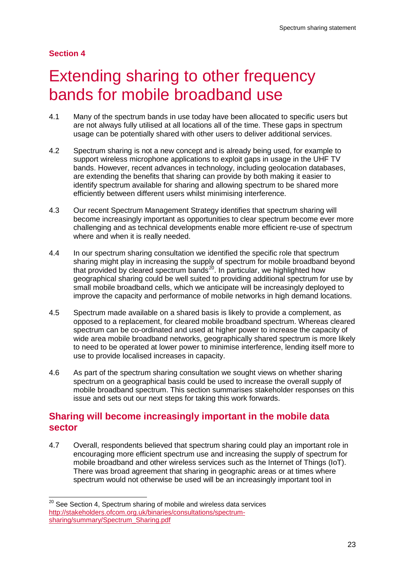## **Section 4**

# <span id="page-25-0"></span>Extending sharing to other frequency bands for mobile broadband use

- 4.1 Many of the spectrum bands in use today have been allocated to specific users but are not always fully utilised at all locations all of the time. These gaps in spectrum usage can be potentially shared with other users to deliver additional services.
- 4.2 Spectrum sharing is not a new concept and is already being used, for example to support wireless microphone applications to exploit gaps in usage in the UHF TV bands. However, recent advances in technology, including geolocation databases, are extending the benefits that sharing can provide by both making it easier to identify spectrum available for sharing and allowing spectrum to be shared more efficiently between different users whilst minimising interference.
- 4.3 Our recent Spectrum Management Strategy identifies that spectrum sharing will become increasingly important as opportunities to clear spectrum become ever more challenging and as technical developments enable more efficient re-use of spectrum where and when it is really needed.
- 4.4 In our spectrum sharing consultation we identified the specific role that spectrum sharing might play in increasing the supply of spectrum for mobile broadband beyond that provided by cleared spectrum bands<sup>20</sup>. In particular, we highlighted how geographical sharing could be well suited to providing additional spectrum for use by small mobile broadband cells, which we anticipate will be increasingly deployed to improve the capacity and performance of mobile networks in high demand locations.
- 4.5 Spectrum made available on a shared basis is likely to provide a complement, as opposed to a replacement, for cleared mobile broadband spectrum. Whereas cleared spectrum can be co-ordinated and used at higher power to increase the capacity of wide area mobile broadband networks, geographically shared spectrum is more likely to need to be operated at lower power to minimise interference, lending itself more to use to provide localised increases in capacity.
- 4.6 As part of the spectrum sharing consultation we sought views on whether sharing spectrum on a geographical basis could be used to increase the overall supply of mobile broadband spectrum. This section summarises stakeholder responses on this issue and sets out our next steps for taking this work forwards.

# **Sharing will become increasingly important in the mobile data sector**

4.7 Overall, respondents believed that spectrum sharing could play an important role in encouraging more efficient spectrum use and increasing the supply of spectrum for mobile broadband and other wireless services such as the Internet of Things (IoT). There was broad agreement that sharing in geographic areas or at times where spectrum would not otherwise be used will be an increasingly important tool in

<span id="page-25-1"></span> $20$  See Section 4, Spectrum sharing of mobile and wireless data services [http://stakeholders.ofcom.org.uk/binaries/consultations/spectrum](http://stakeholders.ofcom.org.uk/binaries/consultations/spectrum-sharing/summary/Spectrum_Sharing.pdf)[sharing/summary/Spectrum\\_Sharing.pdf](http://stakeholders.ofcom.org.uk/binaries/consultations/spectrum-sharing/summary/Spectrum_Sharing.pdf)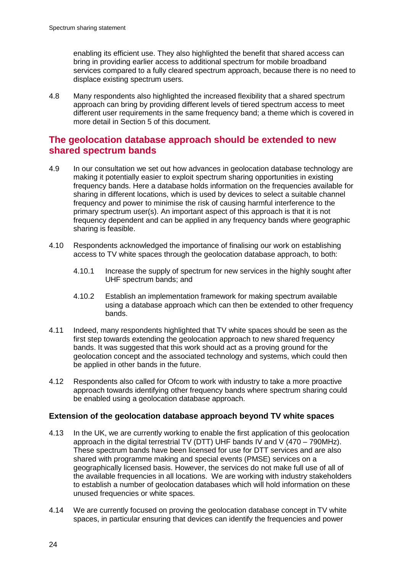enabling its efficient use. They also highlighted the benefit that shared access can bring in providing earlier access to additional spectrum for mobile broadband services compared to a fully cleared spectrum approach, because there is no need to displace existing spectrum users.

4.8 Many respondents also highlighted the increased flexibility that a shared spectrum approach can bring by providing different levels of tiered spectrum access to meet different user requirements in the same frequency band; a theme which is covered in more detail in Section 5 of this document.

# **The geolocation database approach should be extended to new shared spectrum bands**

- 4.9 In our consultation we set out how advances in geolocation database technology are making it potentially easier to exploit spectrum sharing opportunities in existing frequency bands. Here a database holds information on the frequencies available for sharing in different locations, which is used by devices to select a suitable channel frequency and power to minimise the risk of causing harmful interference to the primary spectrum user(s). An important aspect of this approach is that it is not frequency dependent and can be applied in any frequency bands where geographic sharing is feasible.
- 4.10 Respondents acknowledged the importance of finalising our work on establishing access to TV white spaces through the geolocation database approach, to both:
	- 4.10.1 Increase the supply of spectrum for new services in the highly sought after UHF spectrum bands; and
	- 4.10.2 Establish an implementation framework for making spectrum available using a database approach which can then be extended to other frequency bands.
- 4.11 Indeed, many respondents highlighted that TV white spaces should be seen as the first step towards extending the geolocation approach to new shared frequency bands. It was suggested that this work should act as a proving ground for the geolocation concept and the associated technology and systems, which could then be applied in other bands in the future.
- 4.12 Respondents also called for Ofcom to work with industry to take a more proactive approach towards identifying other frequency bands where spectrum sharing could be enabled using a geolocation database approach.

# **Extension of the geolocation database approach beyond TV white spaces**

- 4.13 In the UK, we are currently working to enable the first application of this geolocation approach in the digital terrestrial TV (DTT) UHF bands IV and V (470 – 790MHz). These spectrum bands have been licensed for use for DTT services and are also shared with programme making and special events (PMSE) services on a geographically licensed basis. However, the services do not make full use of all of the available frequencies in all locations. We are working with industry stakeholders to establish a number of geolocation databases which will hold information on these unused frequencies or white spaces.
- 4.14 We are currently focused on proving the geolocation database concept in TV white spaces, in particular ensuring that devices can identify the frequencies and power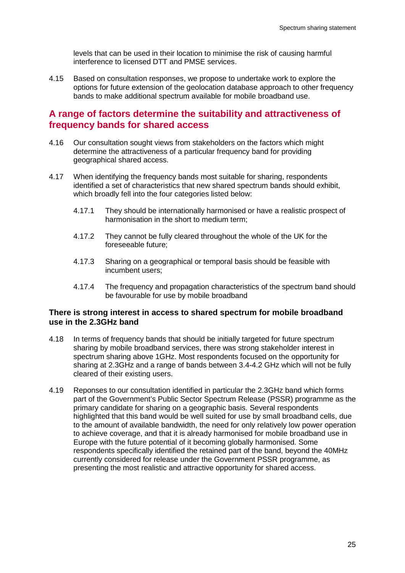levels that can be used in their location to minimise the risk of causing harmful interference to licensed DTT and PMSE services.

4.15 Based on consultation responses, we propose to undertake work to explore the options for future extension of the geolocation database approach to other frequency bands to make additional spectrum available for mobile broadband use.

# **A range of factors determine the suitability and attractiveness of frequency bands for shared access**

- 4.16 Our consultation sought views from stakeholders on the factors which might determine the attractiveness of a particular frequency band for providing geographical shared access.
- 4.17 When identifying the frequency bands most suitable for sharing, respondents identified a set of characteristics that new shared spectrum bands should exhibit, which broadly fell into the four categories listed below:
	- 4.17.1 They should be internationally harmonised or have a realistic prospect of harmonisation in the short to medium term;
	- 4.17.2 They cannot be fully cleared throughout the whole of the UK for the foreseeable future;
	- 4.17.3 Sharing on a geographical or temporal basis should be feasible with incumbent users;
	- 4.17.4 The frequency and propagation characteristics of the spectrum band should be favourable for use by mobile broadband

## **There is strong interest in access to shared spectrum for mobile broadband use in the 2.3GHz band**

- 4.18 In terms of frequency bands that should be initially targeted for future spectrum sharing by mobile broadband services, there was strong stakeholder interest in spectrum sharing above 1GHz. Most respondents focused on the opportunity for sharing at 2.3GHz and a range of bands between 3.4-4.2 GHz which will not be fully cleared of their existing users.
- 4.19 Reponses to our consultation identified in particular the 2.3GHz band which forms part of the Government's Public Sector Spectrum Release (PSSR) programme as the primary candidate for sharing on a geographic basis. Several respondents highlighted that this band would be well suited for use by small broadband cells, due to the amount of available bandwidth, the need for only relatively low power operation to achieve coverage, and that it is already harmonised for mobile broadband use in Europe with the future potential of it becoming globally harmonised. Some respondents specifically identified the retained part of the band, beyond the 40MHz currently considered for release under the Government PSSR programme, as presenting the most realistic and attractive opportunity for shared access.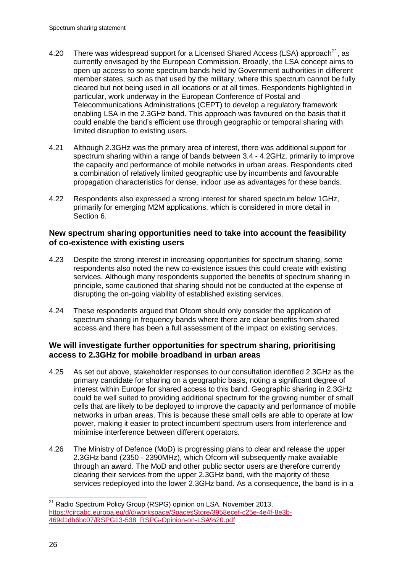- 4.20 There was widespread support for a Licensed Shared Access (LSA) approach<sup>21</sup>, as currently envisaged by the European Commission. Broadly, the LSA concept aims to open up access to some spectrum bands held by Government authorities in different member states, such as that used by the military, where this spectrum cannot be fully cleared but not being used in all locations or at all times. Respondents highlighted in particular, work underway in the European Conference of Postal and Telecommunications Administrations (CEPT) to develop a regulatory framework enabling LSA in the 2.3GHz band. This approach was favoured on the basis that it could enable the band's efficient use through geographic or temporal sharing with limited disruption to existing users.
- 4.21 Although 2.3GHz was the primary area of interest, there was additional support for spectrum sharing within a range of bands between 3.4 - 4.2GHz, primarily to improve the capacity and performance of mobile networks in urban areas. Respondents cited a combination of relatively limited geographic use by incumbents and favourable propagation characteristics for dense, indoor use as advantages for these bands.
- 4.22 Respondents also expressed a strong interest for shared spectrum below 1GHz, primarily for emerging M2M applications, which is considered in more detail in Section 6.

# **New spectrum sharing opportunities need to take into account the feasibility of co-existence with existing users**

- 4.23 Despite the strong interest in increasing opportunities for spectrum sharing, some respondents also noted the new co-existence issues this could create with existing services. Although many respondents supported the benefits of spectrum sharing in principle, some cautioned that sharing should not be conducted at the expense of disrupting the on-going viability of established existing services.
- 4.24 These respondents argued that Ofcom should only consider the application of spectrum sharing in frequency bands where there are clear benefits from shared access and there has been a full assessment of the impact on existing services.

# **We will investigate further opportunities for spectrum sharing, prioritising access to 2.3GHz for mobile broadband in urban areas**

- 4.25 As set out above, stakeholder responses to our consultation identified 2.3GHz as the primary candidate for sharing on a geographic basis, noting a significant degree of interest within Europe for shared access to this band. Geographic sharing in 2.3GHz could be well suited to providing additional spectrum for the growing number of small cells that are likely to be deployed to improve the capacity and performance of mobile networks in urban areas. This is because these small cells are able to operate at low power, making it easier to protect incumbent spectrum users from interference and minimise interference between different operators.
- 4.26 The Ministry of Defence (MoD) is progressing plans to clear and release the upper 2.3GHz band (2350 - 2390MHz), which Ofcom will subsequently make available through an award. The MoD and other public sector users are therefore currently clearing their services from the upper 2.3GHz band, with the majority of these services redeployed into the lower 2.3GHz band. As a consequence, the band is in a

<span id="page-28-0"></span><sup>&</sup>lt;sup>21</sup> Radio Spectrum Policy Group (RSPG) opinion on LSA, November 2013, [https://circabc.europa.eu/d/d/workspace/SpacesStore/3958ecef-c25e-4e4f-8e3b-](https://circabc.europa.eu/d/d/workspace/SpacesStore/3958ecef-c25e-4e4f-8e3b-469d1db6bc07/RSPG13-538_RSPG-Opinion-on-LSA%20.pdf)[469d1db6bc07/RSPG13-538\\_RSPG-Opinion-on-LSA%20.pdf](https://circabc.europa.eu/d/d/workspace/SpacesStore/3958ecef-c25e-4e4f-8e3b-469d1db6bc07/RSPG13-538_RSPG-Opinion-on-LSA%20.pdf)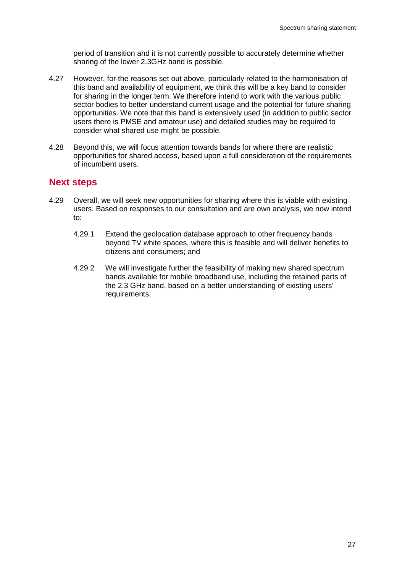period of transition and it is not currently possible to accurately determine whether sharing of the lower 2.3GHz band is possible.

- 4.27 However, for the reasons set out above, particularly related to the harmonisation of this band and availability of equipment, we think this will be a key band to consider for sharing in the longer term. We therefore intend to work with the various public sector bodies to better understand current usage and the potential for future sharing opportunities. We note that this band is extensively used (in addition to public sector users there is PMSE and amateur use) and detailed studies may be required to consider what shared use might be possible.
- 4.28 Beyond this, we will focus attention towards bands for where there are realistic opportunities for shared access, based upon a full consideration of the requirements of incumbent users.

# **Next steps**

- 4.29 Overall, we will seek new opportunities for sharing where this is viable with existing users. Based on responses to our consultation and are own analysis, we now intend to:
	- 4.29.1 Extend the geolocation database approach to other frequency bands beyond TV white spaces, where this is feasible and will deliver benefits to citizens and consumers; and
	- 4.29.2 We will investigate further the feasibility of making new shared spectrum bands available for mobile broadband use, including the retained parts of the 2.3 GHz band, based on a better understanding of existing users' requirements.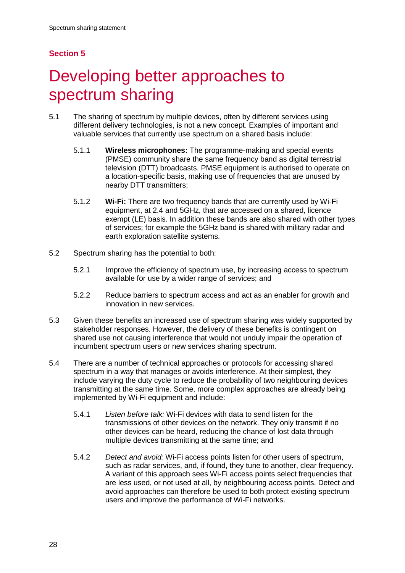# **Section 5**

# <span id="page-30-0"></span>Developing better approaches to spectrum sharing

- 5.1 The sharing of spectrum by multiple devices, often by different services using different delivery technologies, is not a new concept. Examples of important and valuable services that currently use spectrum on a shared basis include:
	- 5.1.1 **Wireless microphones:** The programme-making and special events (PMSE) community share the same frequency band as digital terrestrial television (DTT) broadcasts. PMSE equipment is authorised to operate on a location-specific basis, making use of frequencies that are unused by nearby DTT transmitters;
	- 5.1.2 **Wi-Fi:** There are two frequency bands that are currently used by Wi-Fi equipment, at 2.4 and 5GHz, that are accessed on a shared, licence exempt (LE) basis. In addition these bands are also shared with other types of services; for example the 5GHz band is shared with military radar and earth exploration satellite systems.
- 5.2 Spectrum sharing has the potential to both:
	- 5.2.1 Improve the efficiency of spectrum use, by increasing access to spectrum available for use by a wider range of services; and
	- 5.2.2 Reduce barriers to spectrum access and act as an enabler for growth and innovation in new services.
- 5.3 Given these benefits an increased use of spectrum sharing was widely supported by stakeholder responses. However, the delivery of these benefits is contingent on shared use not causing interference that would not unduly impair the operation of incumbent spectrum users or new services sharing spectrum.
- 5.4 There are a number of technical approaches or protocols for accessing shared spectrum in a way that manages or avoids interference. At their simplest, they include varying the duty cycle to reduce the probability of two neighbouring devices transmitting at the same time. Some, more complex approaches are already being implemented by Wi-Fi equipment and include:
	- 5.4.1 *Listen before talk:* Wi-Fi devices with data to send listen for the transmissions of other devices on the network. They only transmit if no other devices can be heard, reducing the chance of lost data through multiple devices transmitting at the same time; and
	- 5.4.2 *Detect and avoid:* Wi-Fi access points listen for other users of spectrum, such as radar services, and, if found, they tune to another, clear frequency. A variant of this approach sees Wi-Fi access points select frequencies that are less used, or not used at all, by neighbouring access points. Detect and avoid approaches can therefore be used to both protect existing spectrum users and improve the performance of Wi-Fi networks.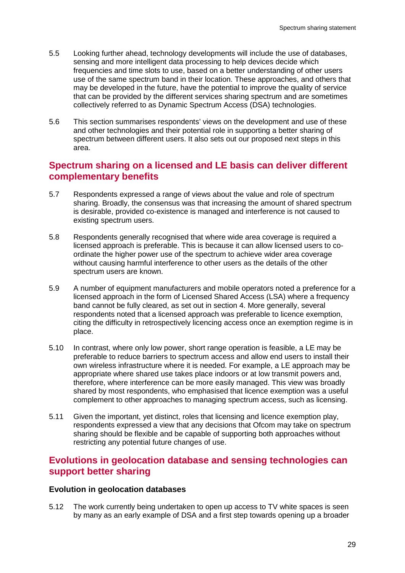- 5.5 Looking further ahead, technology developments will include the use of databases, sensing and more intelligent data processing to help devices decide which frequencies and time slots to use, based on a better understanding of other users use of the same spectrum band in their location. These approaches, and others that may be developed in the future, have the potential to improve the quality of service that can be provided by the different services sharing spectrum and are sometimes collectively referred to as Dynamic Spectrum Access (DSA) technologies.
- 5.6 This section summarises respondents' views on the development and use of these and other technologies and their potential role in supporting a better sharing of spectrum between different users. It also sets out our proposed next steps in this area.

# **Spectrum sharing on a licensed and LE basis can deliver different complementary benefits**

- 5.7 Respondents expressed a range of views about the value and role of spectrum sharing. Broadly, the consensus was that increasing the amount of shared spectrum is desirable, provided co-existence is managed and interference is not caused to existing spectrum users.
- 5.8 Respondents generally recognised that where wide area coverage is required a licensed approach is preferable. This is because it can allow licensed users to coordinate the higher power use of the spectrum to achieve wider area coverage without causing harmful interference to other users as the details of the other spectrum users are known.
- 5.9 A number of equipment manufacturers and mobile operators noted a preference for a licensed approach in the form of Licensed Shared Access (LSA) where a frequency band cannot be fully cleared, as set out in section 4. More generally, several respondents noted that a licensed approach was preferable to licence exemption, citing the difficulty in retrospectively licencing access once an exemption regime is in place.
- 5.10 In contrast, where only low power, short range operation is feasible, a LE may be preferable to reduce barriers to spectrum access and allow end users to install their own wireless infrastructure where it is needed. For example, a LE approach may be appropriate where shared use takes place indoors or at low transmit powers and, therefore, where interference can be more easily managed. This view was broadly shared by most respondents, who emphasised that licence exemption was a useful complement to other approaches to managing spectrum access, such as licensing.
- 5.11 Given the important, yet distinct, roles that licensing and licence exemption play, respondents expressed a view that any decisions that Ofcom may take on spectrum sharing should be flexible and be capable of supporting both approaches without restricting any potential future changes of use.

# **Evolutions in geolocation database and sensing technologies can support better sharing**

## **Evolution in geolocation databases**

5.12 The work currently being undertaken to open up access to TV white spaces is seen by many as an early example of DSA and a first step towards opening up a broader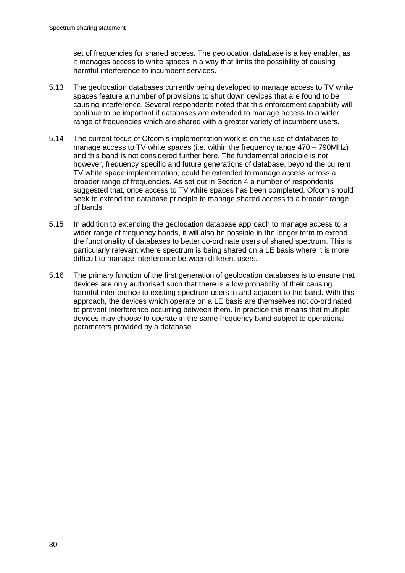set of frequencies for shared access. The geolocation database is a key enabler, as it manages access to white spaces in a way that limits the possibility of causing harmful interference to incumbent services.

- 5.13 The geolocation databases currently being developed to manage access to TV white spaces feature a number of provisions to shut down devices that are found to be causing interference. Several respondents noted that this enforcement capability will continue to be important if databases are extended to manage access to a wider range of frequencies which are shared with a greater variety of incumbent users.
- 5.14 The current focus of Ofcom's implementation work is on the use of databases to manage access to TV white spaces (i.e. within the frequency range 470 – 790MHz) and this band is not considered further here. The fundamental principle is not, however, frequency specific and future generations of database, beyond the current TV white space implementation, could be extended to manage access across a broader range of frequencies. As set out in Section 4 a number of respondents suggested that, once access to TV white spaces has been completed, Ofcom should seek to extend the database principle to manage shared access to a broader range of bands.
- 5.15 In addition to extending the geolocation database approach to manage access to a wider range of frequency bands, it will also be possible in the longer term to extend the functionality of databases to better co-ordinate users of shared spectrum. This is particularly relevant where spectrum is being shared on a LE basis where it is more difficult to manage interference between different users.
- 5.16 The primary function of the first generation of geolocation databases is to ensure that devices are only authorised such that there is a low probability of their causing harmful interference to existing spectrum users in and adjacent to the band. With this approach, the devices which operate on a LE basis are themselves not co-ordinated to prevent interference occurring between them. In practice this means that multiple devices may choose to operate in the same frequency band subject to operational parameters provided by a database.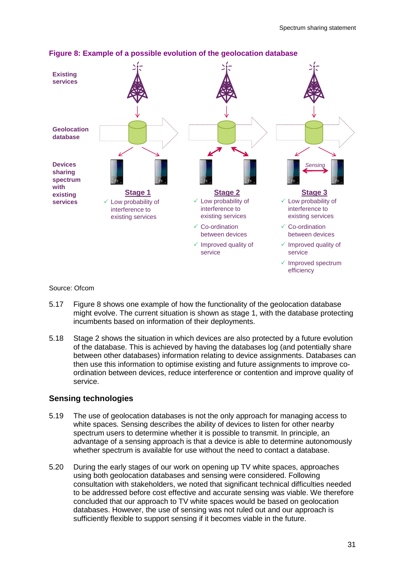

## **Figure 8: Example of a possible evolution of the geolocation database**

Source: Ofcom

- 5.17 Figure 8 shows one example of how the functionality of the geolocation database might evolve. The current situation is shown as stage 1, with the database protecting incumbents based on information of their deployments.
- 5.18 Stage 2 shows the situation in which devices are also protected by a future evolution of the database. This is achieved by having the databases log (and potentially share between other databases) information relating to device assignments. Databases can then use this information to optimise existing and future assignments to improve coordination between devices, reduce interference or contention and improve quality of service.

## **Sensing technologies**

- 5.19 The use of geolocation databases is not the only approach for managing access to white spaces. Sensing describes the ability of devices to listen for other nearby spectrum users to determine whether it is possible to transmit. In principle, an advantage of a sensing approach is that a device is able to determine autonomously whether spectrum is available for use without the need to contact a database.
- 5.20 During the early stages of our work on opening up TV white spaces, approaches using both geolocation databases and sensing were considered. Following consultation with stakeholders, we noted that significant technical difficulties needed to be addressed before cost effective and accurate sensing was viable. We therefore concluded that our approach to TV white spaces would be based on geolocation databases. However, the use of sensing was not ruled out and our approach is sufficiently flexible to support sensing if it becomes viable in the future.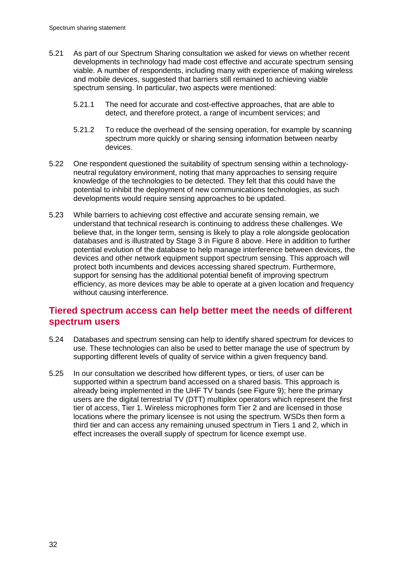- 5.21 As part of our Spectrum Sharing consultation we asked for views on whether recent developments in technology had made cost effective and accurate spectrum sensing viable. A number of respondents, including many with experience of making wireless and mobile devices, suggested that barriers still remained to achieving viable spectrum sensing. In particular, two aspects were mentioned:
	- 5.21.1 The need for accurate and cost-effective approaches, that are able to detect, and therefore protect, a range of incumbent services; and
	- 5.21.2 To reduce the overhead of the sensing operation, for example by scanning spectrum more quickly or sharing sensing information between nearby devices.
- 5.22 One respondent questioned the suitability of spectrum sensing within a technologyneutral regulatory environment, noting that many approaches to sensing require knowledge of the technologies to be detected. They felt that this could have the potential to inhibit the deployment of new communications technologies, as such developments would require sensing approaches to be updated.
- 5.23 While barriers to achieving cost effective and accurate sensing remain, we understand that technical research is continuing to address these challenges. We believe that, in the longer term, sensing is likely to play a role alongside geolocation databases and is illustrated by Stage 3 in Figure 8 above. Here in addition to further potential evolution of the database to help manage interference between devices, the devices and other network equipment support spectrum sensing. This approach will protect both incumbents and devices accessing shared spectrum. Furthermore, support for sensing has the additional potential benefit of improving spectrum efficiency, as more devices may be able to operate at a given location and frequency without causing interference.

# **Tiered spectrum access can help better meet the needs of different spectrum users**

- 5.24 Databases and spectrum sensing can help to identify shared spectrum for devices to use. These technologies can also be used to better manage the use of spectrum by supporting different levels of quality of service within a given frequency band.
- 5.25 In our consultation we described how different types, or tiers, of user can be supported within a spectrum band accessed on a shared basis. This approach is already being implemented in the UHF TV bands (see Figure 9); here the primary users are the digital terrestrial TV (DTT) multiplex operators which represent the first tier of access, Tier 1. Wireless microphones form Tier 2 and are licensed in those locations where the primary licensee is not using the spectrum. WSDs then form a third tier and can access any remaining unused spectrum in Tiers 1 and 2, which in effect increases the overall supply of spectrum for licence exempt use.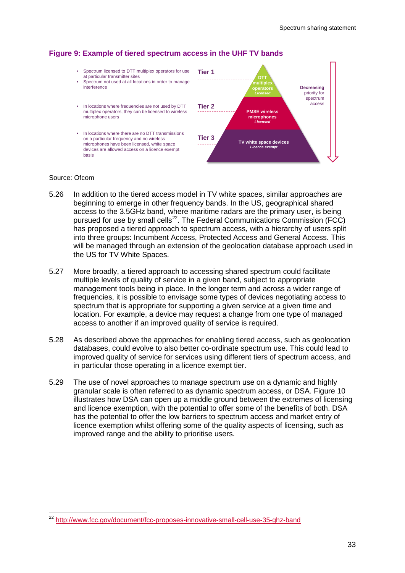# **Figure 9: Example of tiered spectrum access in the UHF TV bands**

- Spectrum licensed to DTT multiplex operators for use at particular transmitter sites
- Spectrum not used at all locations in order to manage interference
- In locations where frequencies are not used by DTT multiplex operators, they can be licensed to wireless microphone users
- In locations where there are no DTT transmissions on a particular frequency and no wireless microphones have been licensed, white space devices are allowed access on a licence exempt basis



#### Source: Ofcom

- 5.26 In addition to the tiered access model in TV white spaces, similar approaches are beginning to emerge in other frequency bands. In the US, geographical shared access to the 3.5GHz band, where maritime radars are the primary user, is being pursued for use by small cells<sup>[22](#page-35-0)</sup>. The Federal Communications Commission (FCC) has proposed a tiered approach to spectrum access, with a hierarchy of users split into three groups: Incumbent Access, Protected Access and General Access. This will be managed through an extension of the geolocation database approach used in the US for TV White Spaces.
- 5.27 More broadly, a tiered approach to accessing shared spectrum could facilitate multiple levels of quality of service in a given band, subject to appropriate management tools being in place. In the longer term and across a wider range of frequencies, it is possible to envisage some types of devices negotiating access to spectrum that is appropriate for supporting a given service at a given time and location. For example, a device may request a change from one type of managed access to another if an improved quality of service is required.
- 5.28 As described above the approaches for enabling tiered access, such as geolocation databases, could evolve to also better co-ordinate spectrum use. This could lead to improved quality of service for services using different tiers of spectrum access, and in particular those operating in a licence exempt tier.
- 5.29 The use of novel approaches to manage spectrum use on a dynamic and highly granular scale is often referred to as dynamic spectrum access, or DSA. Figure 10 illustrates how DSA can open up a middle ground between the extremes of licensing and licence exemption, with the potential to offer some of the benefits of both. DSA has the potential to offer the low barriers to spectrum access and market entry of licence exemption whilst offering some of the quality aspects of licensing, such as improved range and the ability to prioritise users.

<span id="page-35-0"></span><sup>&</sup>lt;sup>22</sup> http://www<u>.fcc.gov/document/fcc-proposes-innovative-small-cell-use-35-ghz-band</u>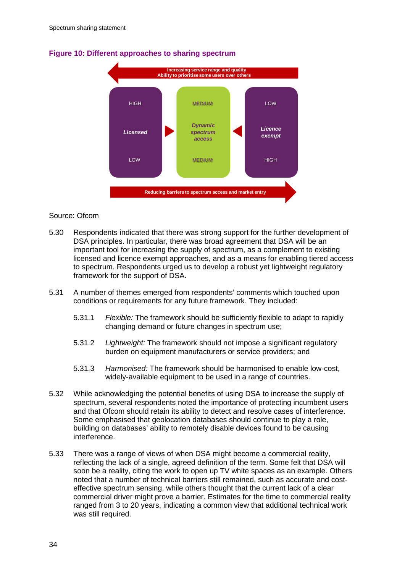

## **Figure 10: Different approaches to sharing spectrum**

### Source: Ofcom

- 5.30 Respondents indicated that there was strong support for the further development of DSA principles. In particular, there was broad agreement that DSA will be an important tool for increasing the supply of spectrum, as a complement to existing licensed and licence exempt approaches, and as a means for enabling tiered access to spectrum. Respondents urged us to develop a robust yet lightweight regulatory framework for the support of DSA.
- 5.31 A number of themes emerged from respondents' comments which touched upon conditions or requirements for any future framework. They included:
	- 5.31.1 *Flexible:* The framework should be sufficiently flexible to adapt to rapidly changing demand or future changes in spectrum use;
	- 5.31.2 *Lightweight:* The framework should not impose a significant regulatory burden on equipment manufacturers or service providers; and
	- 5.31.3 *Harmonised:* The framework should be harmonised to enable low-cost, widely-available equipment to be used in a range of countries.
- 5.32 While acknowledging the potential benefits of using DSA to increase the supply of spectrum, several respondents noted the importance of protecting incumbent users and that Ofcom should retain its ability to detect and resolve cases of interference. Some emphasised that geolocation databases should continue to play a role, building on databases' ability to remotely disable devices found to be causing interference.
- 5.33 There was a range of views of when DSA might become a commercial reality, reflecting the lack of a single, agreed definition of the term. Some felt that DSA will soon be a reality, citing the work to open up TV white spaces as an example. Others noted that a number of technical barriers still remained, such as accurate and costeffective spectrum sensing, while others thought that the current lack of a clear commercial driver might prove a barrier. Estimates for the time to commercial reality ranged from 3 to 20 years, indicating a common view that additional technical work was still required.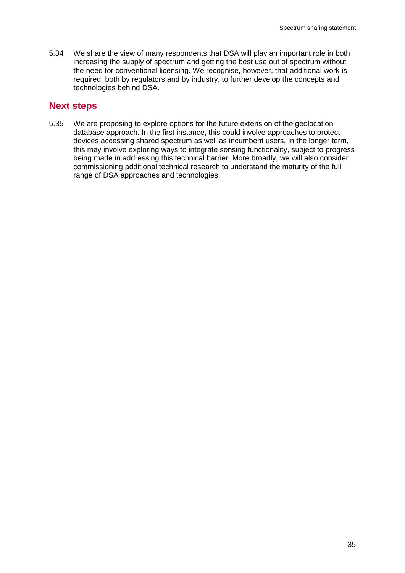5.34 We share the view of many respondents that DSA will play an important role in both increasing the supply of spectrum and getting the best use out of spectrum without the need for conventional licensing. We recognise, however, that additional work is required, both by regulators and by industry, to further develop the concepts and technologies behind DSA.

# **Next steps**

5.35 We are proposing to explore options for the future extension of the geolocation database approach. In the first instance, this could involve approaches to protect devices accessing shared spectrum as well as incumbent users. In the longer term, this may involve exploring ways to integrate sensing functionality, subject to progress being made in addressing this technical barrier. More broadly, we will also consider commissioning additional technical research to understand the maturity of the full range of DSA approaches and technologies.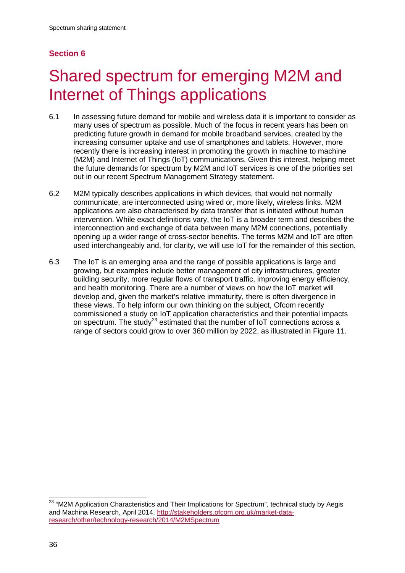# **Section 6**

# <span id="page-38-0"></span>6 Shared spectrum for emerging M2M and Internet of Things applications

- 6.1 In assessing future demand for mobile and wireless data it is important to consider as many uses of spectrum as possible. Much of the focus in recent years has been on predicting future growth in demand for mobile broadband services, created by the increasing consumer uptake and use of smartphones and tablets. However, more recently there is increasing interest in promoting the growth in machine to machine (M2M) and Internet of Things (IoT) communications. Given this interest, helping meet the future demands for spectrum by M2M and IoT services is one of the priorities set out in our recent Spectrum Management Strategy statement.
- 6.2 M2M typically describes applications in which devices, that would not normally communicate, are interconnected using wired or, more likely, wireless links. M2M applications are also characterised by data transfer that is initiated without human intervention. While exact definitions vary, the IoT is a broader term and describes the interconnection and exchange of data between many M2M connections, potentially opening up a wider range of cross-sector benefits. The terms M2M and IoT are often used interchangeably and, for clarity, we will use IoT for the remainder of this section.
- 6.3 The IoT is an emerging area and the range of possible applications is large and growing, but examples include better management of city infrastructures, greater building security, more regular flows of transport traffic, improving energy efficiency, and health monitoring. There are a number of views on how the IoT market will develop and, given the market's relative immaturity, there is often divergence in these views. To help inform our own thinking on the subject, Ofcom recently commissioned a study on IoT application characteristics and their potential impacts on spectrum. The study<sup>[23](#page-38-1)</sup> estimated that the number of IoT connections across a range of sectors could grow to over 360 million by 2022, as illustrated in Figure 11.

<span id="page-38-1"></span><sup>&</sup>lt;sup>23</sup> "M2M Application Characteristics and Their Implications for Spectrum", technical study by Aegis and Machina Research, April 2014, [http://stakeholders.ofcom.org.uk/market-data](http://stakeholders.ofcom.org.uk/market-data-research/other/technology-research/2014/M2MSpectrum)[research/other/technology-research/2014/M2MSpectrum](http://stakeholders.ofcom.org.uk/market-data-research/other/technology-research/2014/M2MSpectrum)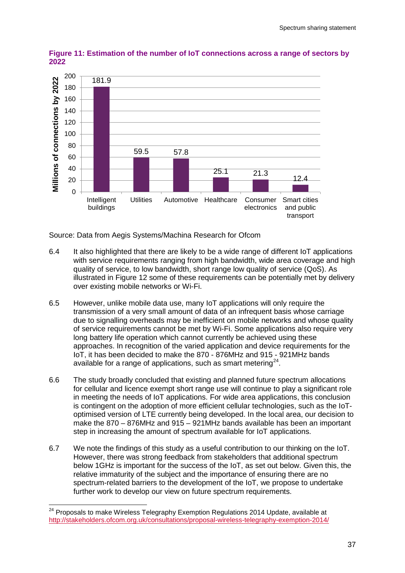

**Figure 11: Estimation of the number of IoT connections across a range of sectors by 2022**

Source: Data from Aegis Systems/Machina Research for Ofcom

- 6.4 It also highlighted that there are likely to be a wide range of different IoT applications with service requirements ranging from high bandwidth, wide area coverage and high quality of service, to low bandwidth, short range low quality of service (QoS). As illustrated in Figure 12 some of these requirements can be potentially met by delivery over existing mobile networks or Wi-Fi.
- 6.5 However, unlike mobile data use, many IoT applications will only require the transmission of a very small amount of data of an infrequent basis whose carriage due to signalling overheads may be inefficient on mobile networks and whose quality of service requirements cannot be met by Wi-Fi. Some applications also require very long battery life operation which cannot currently be achieved using these approaches. In recognition of the varied application and device requirements for the IoT, it has been decided to make the 870 - 876MHz and 915 - 921MHz bands available for a range of applications, such as smart metering<sup>24</sup>.
- 6.6 The study broadly concluded that existing and planned future spectrum allocations for cellular and licence exempt short range use will continue to play a significant role in meeting the needs of IoT applications. For wide area applications, this conclusion is contingent on the adoption of more efficient cellular technologies, such as the IoToptimised version of LTE currently being developed. In the local area, our decision to make the 870 – 876MHz and 915 – 921MHz bands available has been an important step in increasing the amount of spectrum available for IoT applications.
- 6.7 We note the findings of this study as a useful contribution to our thinking on the IoT. However, there was strong feedback from stakeholders that additional spectrum below 1GHz is important for the success of the IoT, as set out below. Given this, the relative immaturity of the subject and the importance of ensuring there are no spectrum-related barriers to the development of the IoT, we propose to undertake further work to develop our view on future spectrum requirements.

<span id="page-39-0"></span><sup>&</sup>lt;sup>24</sup> Proposals to make Wireless Telegraphy Exemption Regulations 2014 Update, available at <http://stakeholders.ofcom.org.uk/consultations/proposal-wireless-telegraphy-exemption-2014/>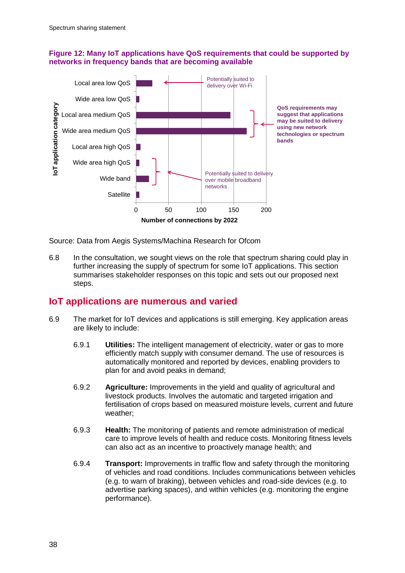## **Figure 12: Many IoT applications have QoS requirements that could be supported by networks in frequency bands that are becoming available**



Source: Data from Aegis Systems/Machina Research for Ofcom

6.8 In the consultation, we sought views on the role that spectrum sharing could play in further increasing the supply of spectrum for some IoT applications. This section summarises stakeholder responses on this topic and sets out our proposed next steps.

# **IoT applications are numerous and varied**

- 6.9 The market for IoT devices and applications is still emerging. Key application areas are likely to include:
	- 6.9.1 **Utilities:** The intelligent management of electricity, water or gas to more efficiently match supply with consumer demand. The use of resources is automatically monitored and reported by devices, enabling providers to plan for and avoid peaks in demand;
	- 6.9.2 **Agriculture:** Improvements in the yield and quality of agricultural and livestock products. Involves the automatic and targeted irrigation and fertilisation of crops based on measured moisture levels, current and future weather;
	- 6.9.3 **Health:** The monitoring of patients and remote administration of medical care to improve levels of health and reduce costs. Monitoring fitness levels can also act as an incentive to proactively manage health; and
	- 6.9.4 **Transport:** Improvements in traffic flow and safety through the monitoring of vehicles and road conditions. Includes communications between vehicles (e.g. to warn of braking), between vehicles and road-side devices (e.g. to advertise parking spaces), and within vehicles (e.g. monitoring the engine performance).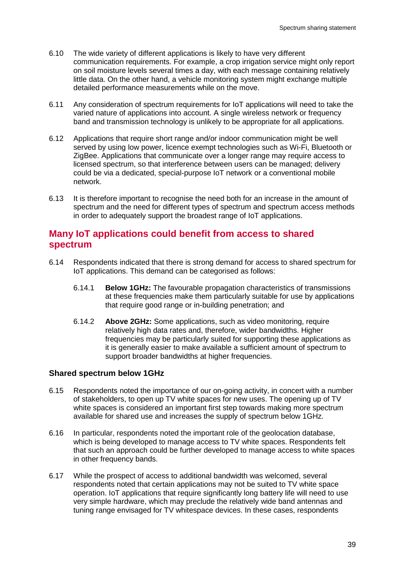- 6.10 The wide variety of different applications is likely to have very different communication requirements. For example, a crop irrigation service might only report on soil moisture levels several times a day, with each message containing relatively little data. On the other hand, a vehicle monitoring system might exchange multiple detailed performance measurements while on the move.
- 6.11 Any consideration of spectrum requirements for IoT applications will need to take the varied nature of applications into account. A single wireless network or frequency band and transmission technology is unlikely to be appropriate for all applications.
- 6.12 Applications that require short range and/or indoor communication might be well served by using low power, licence exempt technologies such as Wi-Fi, Bluetooth or ZigBee. Applications that communicate over a longer range may require access to licensed spectrum, so that interference between users can be managed; delivery could be via a dedicated, special-purpose IoT network or a conventional mobile network.
- 6.13 It is therefore important to recognise the need both for an increase in the amount of spectrum and the need for different types of spectrum and spectrum access methods in order to adequately support the broadest range of IoT applications.

# **Many IoT applications could benefit from access to shared spectrum**

- 6.14 Respondents indicated that there is strong demand for access to shared spectrum for IoT applications. This demand can be categorised as follows:
	- 6.14.1 **Below 1GHz:** The favourable propagation characteristics of transmissions at these frequencies make them particularly suitable for use by applications that require good range or in-building penetration; and
	- 6.14.2 **Above 2GHz:** Some applications, such as video monitoring, require relatively high data rates and, therefore, wider bandwidths. Higher frequencies may be particularly suited for supporting these applications as it is generally easier to make available a sufficient amount of spectrum to support broader bandwidths at higher frequencies.

## **Shared spectrum below 1GHz**

- 6.15 Respondents noted the importance of our on-going activity, in concert with a number of stakeholders, to open up TV white spaces for new uses. The opening up of TV white spaces is considered an important first step towards making more spectrum available for shared use and increases the supply of spectrum below 1GHz.
- 6.16 In particular, respondents noted the important role of the geolocation database, which is being developed to manage access to TV white spaces. Respondents felt that such an approach could be further developed to manage access to white spaces in other frequency bands.
- 6.17 While the prospect of access to additional bandwidth was welcomed, several respondents noted that certain applications may not be suited to TV white space operation. IoT applications that require significantly long battery life will need to use very simple hardware, which may preclude the relatively wide band antennas and tuning range envisaged for TV whitespace devices. In these cases, respondents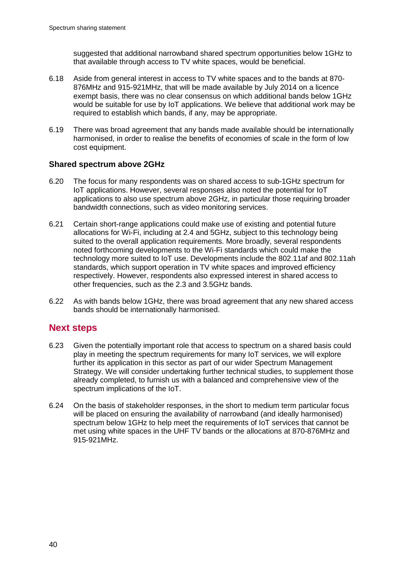suggested that additional narrowband shared spectrum opportunities below 1GHz to that available through access to TV white spaces, would be beneficial.

- 6.18 Aside from general interest in access to TV white spaces and to the bands at 870- 876MHz and 915-921MHz, that will be made available by July 2014 on a licence exempt basis, there was no clear consensus on which additional bands below 1GHz would be suitable for use by IoT applications. We believe that additional work may be required to establish which bands, if any, may be appropriate.
- 6.19 There was broad agreement that any bands made available should be internationally harmonised, in order to realise the benefits of economies of scale in the form of low cost equipment.

# **Shared spectrum above 2GHz**

- 6.20 The focus for many respondents was on shared access to sub-1GHz spectrum for IoT applications. However, several responses also noted the potential for IoT applications to also use spectrum above 2GHz, in particular those requiring broader bandwidth connections, such as video monitoring services.
- 6.21 Certain short-range applications could make use of existing and potential future allocations for Wi-Fi, including at 2.4 and 5GHz, subject to this technology being suited to the overall application requirements. More broadly, several respondents noted forthcoming developments to the Wi-Fi standards which could make the technology more suited to IoT use. Developments include the 802.11af and 802.11ah standards, which support operation in TV white spaces and improved efficiency respectively. However, respondents also expressed interest in shared access to other frequencies, such as the 2.3 and 3.5GHz bands.
- 6.22 As with bands below 1GHz, there was broad agreement that any new shared access bands should be internationally harmonised.

# **Next steps**

- 6.23 Given the potentially important role that access to spectrum on a shared basis could play in meeting the spectrum requirements for many IoT services, we will explore further its application in this sector as part of our wider Spectrum Management Strategy. We will consider undertaking further technical studies, to supplement those already completed, to furnish us with a balanced and comprehensive view of the spectrum implications of the IoT.
- 6.24 On the basis of stakeholder responses, in the short to medium term particular focus will be placed on ensuring the availability of narrowband (and ideally harmonised) spectrum below 1GHz to help meet the requirements of IoT services that cannot be met using white spaces in the UHF TV bands or the allocations at 870-876MHz and 915-921MHz.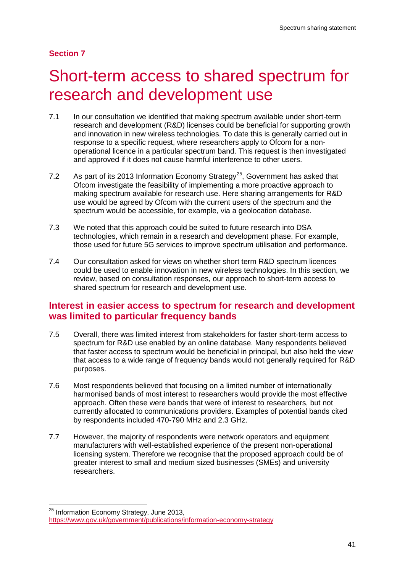# **Section 7**

# <span id="page-43-0"></span>Short-term access to shared spectrum for research and development use

- 7.1 In our consultation we identified that making spectrum available under short-term research and development (R&D) licenses could be beneficial for supporting growth and innovation in new wireless technologies. To date this is generally carried out in response to a specific request, where researchers apply to Ofcom for a nonoperational licence in a particular spectrum band. This request is then investigated and approved if it does not cause harmful interference to other users.
- 7.2 As part of its 2013 Information Economy Strategy<sup>25</sup>, Government has asked that Ofcom investigate the feasibility of implementing a more proactive approach to making spectrum available for research use. Here sharing arrangements for R&D use would be agreed by Ofcom with the current users of the spectrum and the spectrum would be accessible, for example, via a geolocation database.
- 7.3 We noted that this approach could be suited to future research into DSA technologies, which remain in a research and development phase. For example, those used for future 5G services to improve spectrum utilisation and performance.
- 7.4 Our consultation asked for views on whether short term R&D spectrum licences could be used to enable innovation in new wireless technologies. In this section, we review, based on consultation responses, our approach to short-term access to shared spectrum for research and development use.

# **Interest in easier access to spectrum for research and development was limited to particular frequency bands**

- 7.5 Overall, there was limited interest from stakeholders for faster short-term access to spectrum for R&D use enabled by an online database. Many respondents believed that faster access to spectrum would be beneficial in principal, but also held the view that access to a wide range of frequency bands would not generally required for R&D purposes.
- 7.6 Most respondents believed that focusing on a limited number of internationally harmonised bands of most interest to researchers would provide the most effective approach. Often these were bands that were of interest to researchers, but not currently allocated to communications providers. Examples of potential bands cited by respondents included 470-790 MHz and 2.3 GHz.
- 7.7 However, the majority of respondents were network operators and equipment manufacturers with well-established experience of the present non-operational licensing system. Therefore we recognise that the proposed approach could be of greater interest to small and medium sized businesses (SMEs) and university researchers.

<span id="page-43-1"></span><sup>&</sup>lt;sup>25</sup> Information Economy Strategy, June 2013, <https://www.gov.uk/government/publications/information-economy-strategy>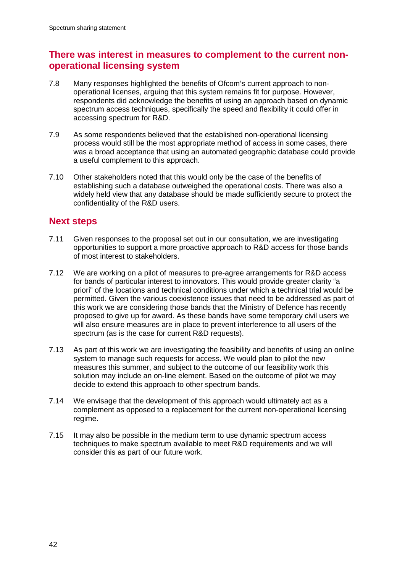# **There was interest in measures to complement to the current nonoperational licensing system**

- 7.8 Many responses highlighted the benefits of Ofcom's current approach to nonoperational licenses, arguing that this system remains fit for purpose. However, respondents did acknowledge the benefits of using an approach based on dynamic spectrum access techniques, specifically the speed and flexibility it could offer in accessing spectrum for R&D.
- 7.9 As some respondents believed that the established non-operational licensing process would still be the most appropriate method of access in some cases, there was a broad acceptance that using an automated geographic database could provide a useful complement to this approach.
- 7.10 Other stakeholders noted that this would only be the case of the benefits of establishing such a database outweighed the operational costs. There was also a widely held view that any database should be made sufficiently secure to protect the confidentiality of the R&D users.

# **Next steps**

- 7.11 Given responses to the proposal set out in our consultation, we are investigating opportunities to support a more proactive approach to R&D access for those bands of most interest to stakeholders.
- 7.12 We are working on a pilot of measures to pre-agree arrangements for R&D access for bands of particular interest to innovators. This would provide greater clarity "a priori" of the locations and technical conditions under which a technical trial would be permitted. Given the various coexistence issues that need to be addressed as part of this work we are considering those bands that the Ministry of Defence has recently proposed to give up for award. As these bands have some temporary civil users we will also ensure measures are in place to prevent interference to all users of the spectrum (as is the case for current R&D requests).
- 7.13 As part of this work we are investigating the feasibility and benefits of using an online system to manage such requests for access. We would plan to pilot the new measures this summer, and subject to the outcome of our feasibility work this solution may include an on-line element. Based on the outcome of pilot we may decide to extend this approach to other spectrum bands.
- 7.14 We envisage that the development of this approach would ultimately act as a complement as opposed to a replacement for the current non-operational licensing regime.
- 7.15 It may also be possible in the medium term to use dynamic spectrum access techniques to make spectrum available to meet R&D requirements and we will consider this as part of our future work.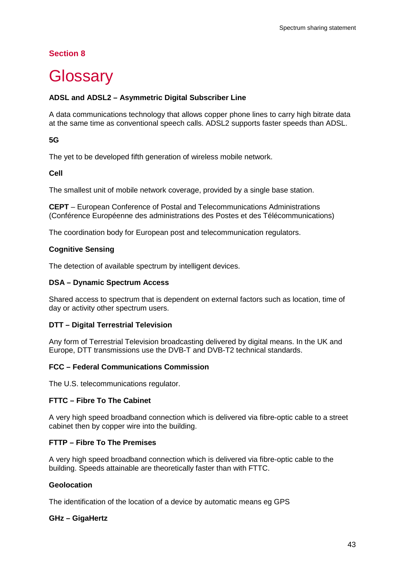# **Section 8**

# <span id="page-45-0"></span>**Glossary**

# **ADSL and ADSL2 – Asymmetric Digital Subscriber Line**

A data communications technology that allows copper phone lines to carry high bitrate data at the same time as conventional speech calls. ADSL2 supports faster speeds than ADSL.

## **5G**

The yet to be developed fifth generation of wireless mobile network.

## **Cell**

The smallest unit of mobile network coverage, provided by a single base station.

**CEPT** – European Conference of Postal and Telecommunications Administrations (Conférence Européenne des administrations des Postes et des Télécommunications)

The coordination body for European post and telecommunication regulators.

## **Cognitive Sensing**

The detection of available spectrum by intelligent devices.

## **DSA – Dynamic Spectrum Access**

Shared access to spectrum that is dependent on external factors such as location, time of day or activity other spectrum users.

## **DTT – Digital Terrestrial Television**

Any form of Terrestrial Television broadcasting delivered by digital means. In the UK and Europe, DTT transmissions use the DVB-T and DVB-T2 technical standards.

## **FCC – Federal Communications Commission**

The U.S. telecommunications regulator.

## **FTTC – Fibre To The Cabinet**

A very high speed broadband connection which is delivered via fibre-optic cable to a street cabinet then by copper wire into the building.

## **FTTP – Fibre To The Premises**

A very high speed broadband connection which is delivered via fibre-optic cable to the building. Speeds attainable are theoretically faster than with FTTC.

#### **Geolocation**

The identification of the location of a device by automatic means eg GPS

## **GHz – GigaHertz**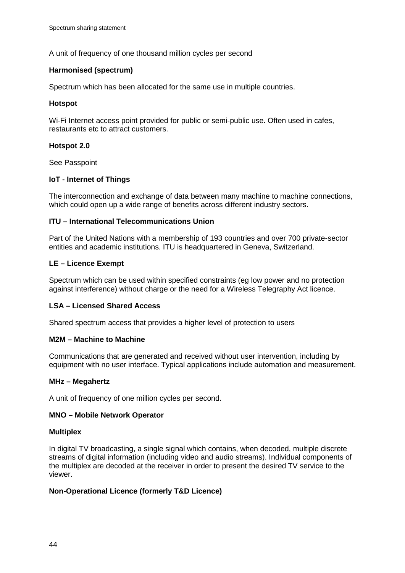A unit of frequency of one thousand million cycles per second

### **Harmonised (spectrum)**

Spectrum which has been allocated for the same use in multiple countries.

### **Hotspot**

Wi-Fi Internet access point provided for public or semi-public use. Often used in cafes, restaurants etc to attract customers.

### **Hotspot 2.0**

See Passpoint

## **IoT - Internet of Things**

The interconnection and exchange of data between many machine to machine connections, which could open up a wide range of benefits across different industry sectors.

### **ITU – International Telecommunications Union**

Part of the United Nations with a membership of 193 countries and over 700 private-sector entities and academic institutions. ITU is headquartered in Geneva, Switzerland.

### **LE – Licence Exempt**

Spectrum which can be used within specified constraints (eg low power and no protection against interference) without charge or the need for a Wireless Telegraphy Act licence.

## **LSA – Licensed Shared Access**

Shared spectrum access that provides a higher level of protection to users

#### **M2M – Machine to Machine**

Communications that are generated and received without user intervention, including by equipment with no user interface. Typical applications include automation and measurement.

## **MHz – Megahertz**

A unit of frequency of one million cycles per second.

## **MNO – Mobile Network Operator**

#### **Multiplex**

In digital TV broadcasting, a single signal which contains, when decoded, multiple discrete streams of digital information (including video and audio streams). Individual components of the multiplex are decoded at the receiver in order to present the desired TV service to the viewer.

## **Non-Operational Licence (formerly T&D Licence)**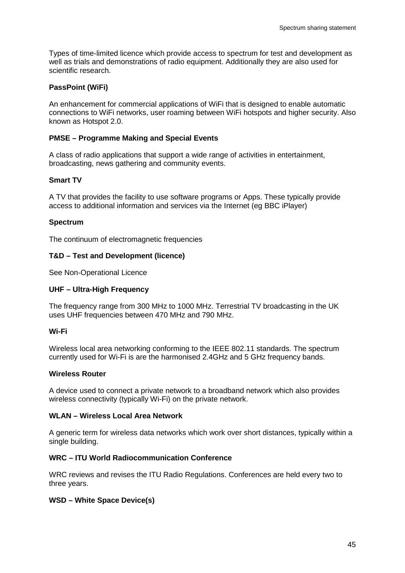Types of time-limited licence which provide access to spectrum for test and development as well as trials and demonstrations of radio equipment. Additionally they are also used for scientific research.

## **PassPoint (WiFi)**

An enhancement for commercial applications of WiFi that is designed to enable automatic connections to WiFi networks, user roaming between WiFi hotspots and higher security. Also known as Hotspot 2.0.

## **PMSE – Programme Making and Special Events**

A class of radio applications that support a wide range of activities in entertainment, broadcasting, news gathering and community events.

### **Smart TV**

A TV that provides the facility to use software programs or Apps. These typically provide access to additional information and services via the Internet (eg BBC iPlayer)

## **Spectrum**

The continuum of electromagnetic frequencies

### **T&D – Test and Development (licence)**

See Non-Operational Licence

#### **UHF – Ultra-High Frequency**

The frequency range from 300 MHz to 1000 MHz. Terrestrial TV broadcasting in the UK uses UHF frequencies between 470 MHz and 790 MHz.

#### **Wi-Fi**

Wireless local area networking conforming to the IEEE 802.11 standards. The spectrum currently used for Wi-Fi is are the harmonised 2.4GHz and 5 GHz frequency bands.

#### **Wireless Router**

A device used to connect a private network to a broadband network which also provides wireless connectivity (typically Wi-Fi) on the private network.

### **WLAN – Wireless Local Area Network**

A generic term for wireless data networks which work over short distances, typically within a single building.

#### **WRC – ITU World Radiocommunication Conference**

WRC reviews and revises the ITU Radio Regulations. Conferences are held every two to three years.

## **WSD – White Space Device(s)**